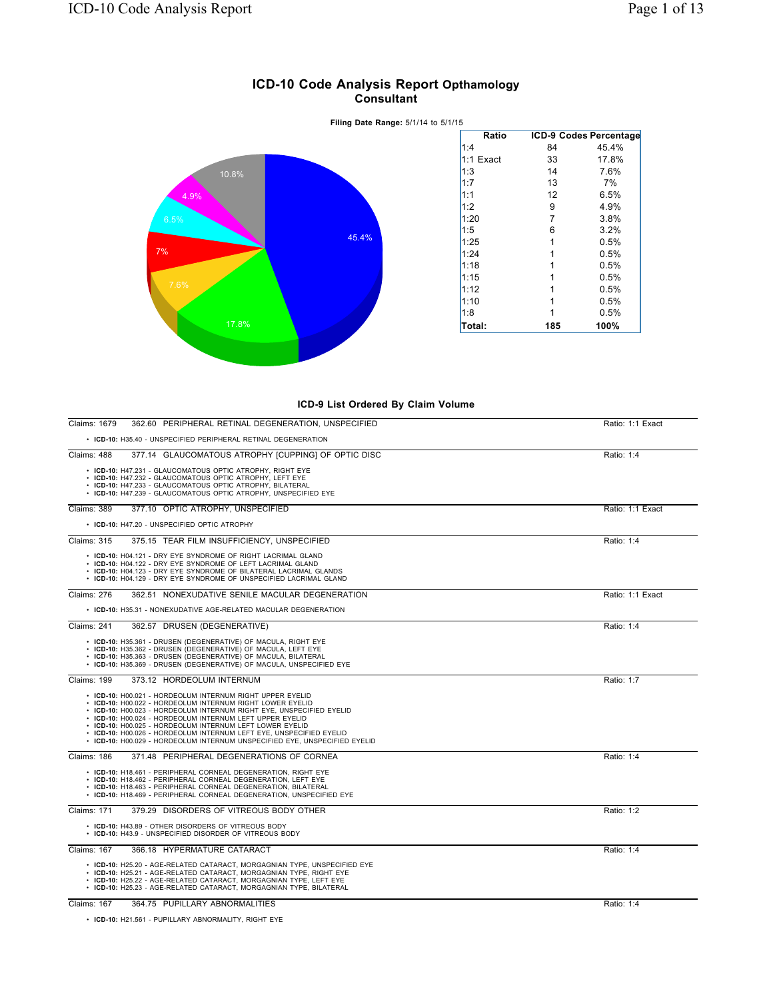

## **ICD-10 Code Analysis Report Opthamology Consultant**



| 362.60 PERIPHERAL RETINAL DEGENERATION, UNSPECIFIED<br>Claims: 1679                                                                                                                                                                                                                                                                                                                                                                                                         | Ratio: 1:1 Exact |
|-----------------------------------------------------------------------------------------------------------------------------------------------------------------------------------------------------------------------------------------------------------------------------------------------------------------------------------------------------------------------------------------------------------------------------------------------------------------------------|------------------|
| • ICD-10: H35.40 - UNSPECIFIED PERIPHERAL RETINAL DEGENERATION                                                                                                                                                                                                                                                                                                                                                                                                              |                  |
| Claims: 488<br>377.14 GLAUCOMATOUS ATROPHY [CUPPING] OF OPTIC DISC                                                                                                                                                                                                                                                                                                                                                                                                          | Ratio: 1:4       |
| • ICD-10: H47.231 - GLAUCOMATOUS OPTIC ATROPHY, RIGHT EYE<br>• ICD-10: H47.232 - GLAUCOMATOUS OPTIC ATROPHY, LEFT EYE<br>• ICD-10: H47.233 - GLAUCOMATOUS OPTIC ATROPHY, BILATERAL<br>• ICD-10: H47.239 - GLAUCOMATOUS OPTIC ATROPHY, UNSPECIFIED EYE                                                                                                                                                                                                                       |                  |
| Claims: 389<br>377.10 OPTIC ATROPHY, UNSPECIFIED                                                                                                                                                                                                                                                                                                                                                                                                                            | Ratio: 1:1 Exact |
| • ICD-10: H47.20 - UNSPECIFIED OPTIC ATROPHY                                                                                                                                                                                                                                                                                                                                                                                                                                |                  |
| <b>Claims: 315</b><br>375.15 TEAR FILM INSUFFICIENCY, UNSPECIFIED                                                                                                                                                                                                                                                                                                                                                                                                           | Ratio: 1:4       |
| • ICD-10: H04.121 - DRY EYE SYNDROME OF RIGHT LACRIMAL GLAND<br>• ICD-10: H04.122 - DRY EYE SYNDROME OF LEFT LACRIMAL GLAND<br>• ICD-10: H04.123 - DRY EYE SYNDROME OF BILATERAL LACRIMAL GLANDS<br>• ICD-10: H04.129 - DRY EYE SYNDROME OF UNSPECIFIED LACRIMAL GLAND                                                                                                                                                                                                      |                  |
| <b>Claims: 276</b><br>362.51 NONEXUDATIVE SENILE MACULAR DEGENERATION                                                                                                                                                                                                                                                                                                                                                                                                       | Ratio: 1:1 Exact |
| • ICD-10: H35.31 - NONEXUDATIVE AGE-RELATED MACULAR DEGENERATION                                                                                                                                                                                                                                                                                                                                                                                                            |                  |
| Claims: 241<br>362.57 DRUSEN (DEGENERATIVE)                                                                                                                                                                                                                                                                                                                                                                                                                                 | Ratio: 1:4       |
| • ICD-10: H35.361 - DRUSEN (DEGENERATIVE) OF MACULA, RIGHT EYE<br>• ICD-10: H35.362 - DRUSEN (DEGENERATIVE) OF MACULA, LEFT EYE<br>• ICD-10: H35.363 - DRUSEN (DEGENERATIVE) OF MACULA, BILATERAL<br>• ICD-10: H35.369 - DRUSEN (DEGENERATIVE) OF MACULA, UNSPECIFIED EYE                                                                                                                                                                                                   |                  |
| <b>Claims: 199</b><br>373.12 HORDEOLUM INTERNUM                                                                                                                                                                                                                                                                                                                                                                                                                             | Ratio: 1:7       |
| • ICD-10: H00.021 - HORDEOLUM INTERNUM RIGHT UPPER EYELID<br>• ICD-10: H00.022 - HORDEOLUM INTERNUM RIGHT LOWER EYELID<br>• ICD-10: H00.023 - HORDEOLUM INTERNUM RIGHT EYE, UNSPECIFIED EYELID<br>• ICD-10: H00.024 - HORDEOLUM INTERNUM LEFT UPPER EYELID<br>• ICD-10: H00.025 - HORDEOLUM INTERNUM LEFT LOWER EYELID<br>• ICD-10: H00.026 - HORDEOLUM INTERNUM LEFT EYE, UNSPECIFIED EYELID<br>• ICD-10: H00.029 - HORDEOLUM INTERNUM UNSPECIFIED EYE, UNSPECIFIED EYELID |                  |
| Claims: 186<br>371.48 PERIPHERAL DEGENERATIONS OF CORNEA                                                                                                                                                                                                                                                                                                                                                                                                                    | Ratio: 1:4       |
| • ICD-10: H18.461 - PERIPHERAL CORNEAL DEGENERATION, RIGHT EYE<br>• ICD-10: H18.462 - PERIPHERAL CORNEAL DEGENERATION, LEFT EYE<br>• ICD-10: H18.463 - PERIPHERAL CORNEAL DEGENERATION, BILATERAL<br>• ICD-10: H18.469 - PERIPHERAL CORNEAL DEGENERATION, UNSPECIFIED EYE                                                                                                                                                                                                   |                  |
| <b>Claims: 171</b><br>379.29 DISORDERS OF VITREOUS BODY OTHER                                                                                                                                                                                                                                                                                                                                                                                                               | Ratio: 1:2       |
| • ICD-10: H43.89 - OTHER DISORDERS OF VITREOUS BODY<br>• ICD-10: H43.9 - UNSPECIFIED DISORDER OF VITREOUS BODY                                                                                                                                                                                                                                                                                                                                                              |                  |
| 366.18 HYPERMATURE CATARACT<br><b>Claims: 167</b>                                                                                                                                                                                                                                                                                                                                                                                                                           | Ratio: 1:4       |
| · ICD-10: H25.20 - AGE-RELATED CATARACT, MORGAGNIAN TYPE, UNSPECIFIED EYE<br>• ICD-10: H25.21 - AGE-RELATED CATARACT, MORGAGNIAN TYPE, RIGHT EYE<br>• ICD-10: H25.22 - AGE-RELATED CATARACT, MORGAGNIAN TYPE, LEFT EYE<br>· ICD-10: H25.23 - AGE-RELATED CATARACT, MORGAGNIAN TYPE, BILATERAL                                                                                                                                                                               |                  |
| 364.75 PUPILLARY ABNORMALITIES<br>Claims: 167                                                                                                                                                                                                                                                                                                                                                                                                                               | Ratio: 1:4       |

• **ICD-10:** H21.561 - PUPILLARY ABNORMALITY, RIGHT EYE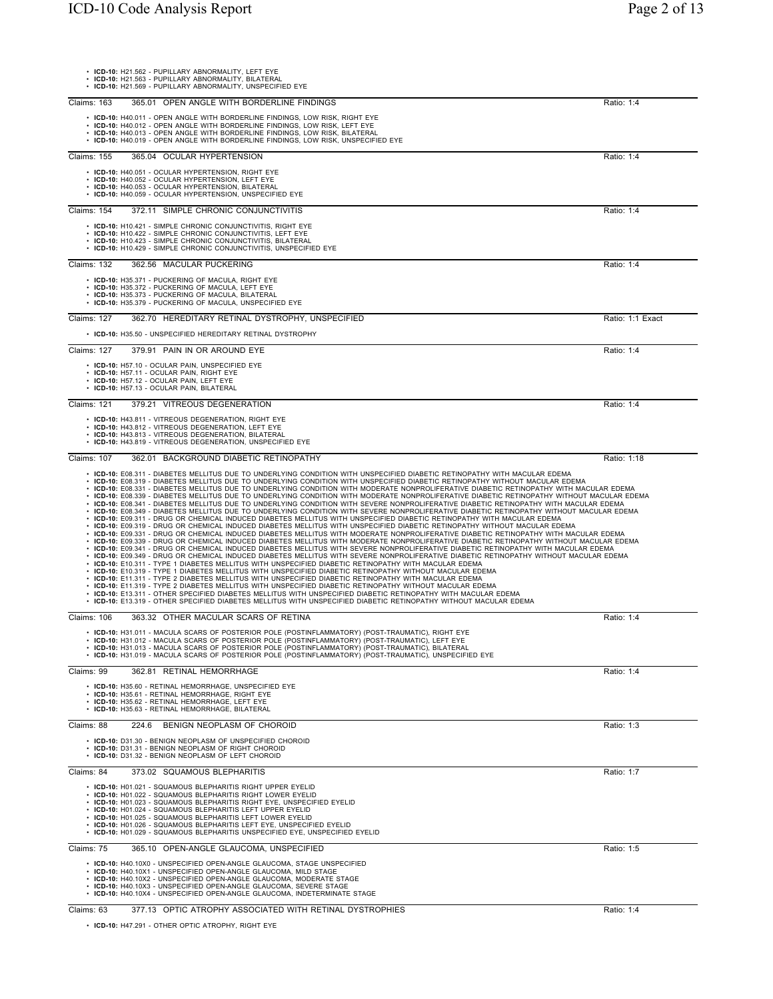|                    | • ICD-10: H21.562 - PUPILLARY ABNORMALITY, LEFT EYE<br>• ICD-10: H21.563 - PUPILLARY ABNORMALITY, BILATERAL<br>• ICD-10: H21.569 - PUPILLARY ABNORMALITY, UNSPECIFIED EYE                                                                                                                                                                                                                                                                                                                                                                                                                                                                                                                                                                                                                                                                                                                                                                                                                                                                                                                                                                                                                                                                                                                                                                                                                                                                                                                                                                                                                                                                                                                                                                                                                                                                                                                                                                                                                                                                                                                                                                                                                                                                                                                                                                             |                  |
|--------------------|-------------------------------------------------------------------------------------------------------------------------------------------------------------------------------------------------------------------------------------------------------------------------------------------------------------------------------------------------------------------------------------------------------------------------------------------------------------------------------------------------------------------------------------------------------------------------------------------------------------------------------------------------------------------------------------------------------------------------------------------------------------------------------------------------------------------------------------------------------------------------------------------------------------------------------------------------------------------------------------------------------------------------------------------------------------------------------------------------------------------------------------------------------------------------------------------------------------------------------------------------------------------------------------------------------------------------------------------------------------------------------------------------------------------------------------------------------------------------------------------------------------------------------------------------------------------------------------------------------------------------------------------------------------------------------------------------------------------------------------------------------------------------------------------------------------------------------------------------------------------------------------------------------------------------------------------------------------------------------------------------------------------------------------------------------------------------------------------------------------------------------------------------------------------------------------------------------------------------------------------------------------------------------------------------------------------------------------------------------|------------------|
| <b>Claims: 163</b> | 365.01 OPEN ANGLE WITH BORDERLINE FINDINGS                                                                                                                                                                                                                                                                                                                                                                                                                                                                                                                                                                                                                                                                                                                                                                                                                                                                                                                                                                                                                                                                                                                                                                                                                                                                                                                                                                                                                                                                                                                                                                                                                                                                                                                                                                                                                                                                                                                                                                                                                                                                                                                                                                                                                                                                                                            | Ratio: 1:4       |
|                    | • ICD-10: H40.011 - OPEN ANGLE WITH BORDERLINE FINDINGS, LOW RISK, RIGHT EYE<br>• ICD-10: H40.012 - OPEN ANGLE WITH BORDERLINE FINDINGS, LOW RISK, LEFT EYE<br>• ICD-10: H40.013 - OPEN ANGLE WITH BORDERLINE FINDINGS, LOW RISK, BILATERAL<br>• ICD-10: H40.019 - OPEN ANGLE WITH BORDERLINE FINDINGS, LOW RISK, UNSPECIFIED EYE                                                                                                                                                                                                                                                                                                                                                                                                                                                                                                                                                                                                                                                                                                                                                                                                                                                                                                                                                                                                                                                                                                                                                                                                                                                                                                                                                                                                                                                                                                                                                                                                                                                                                                                                                                                                                                                                                                                                                                                                                     |                  |
| Claims: 155        | 365.04 OCULAR HYPERTENSION                                                                                                                                                                                                                                                                                                                                                                                                                                                                                                                                                                                                                                                                                                                                                                                                                                                                                                                                                                                                                                                                                                                                                                                                                                                                                                                                                                                                                                                                                                                                                                                                                                                                                                                                                                                                                                                                                                                                                                                                                                                                                                                                                                                                                                                                                                                            | Ratio: 1:4       |
|                    | • ICD-10: H40.051 - OCULAR HYPERTENSION, RIGHT EYE<br>• ICD-10: H40.052 - OCULAR HYPERTENSION, LEFT EYE<br>• ICD-10: H40.053 - OCULAR HYPERTENSION, BILATERAL<br>• ICD-10: H40.059 - OCULAR HYPERTENSION, UNSPECIFIED EYE                                                                                                                                                                                                                                                                                                                                                                                                                                                                                                                                                                                                                                                                                                                                                                                                                                                                                                                                                                                                                                                                                                                                                                                                                                                                                                                                                                                                                                                                                                                                                                                                                                                                                                                                                                                                                                                                                                                                                                                                                                                                                                                             |                  |
| Claims: 154        | 372.11 SIMPLE CHRONIC CONJUNCTIVITIS                                                                                                                                                                                                                                                                                                                                                                                                                                                                                                                                                                                                                                                                                                                                                                                                                                                                                                                                                                                                                                                                                                                                                                                                                                                                                                                                                                                                                                                                                                                                                                                                                                                                                                                                                                                                                                                                                                                                                                                                                                                                                                                                                                                                                                                                                                                  | Ratio: 1:4       |
|                    | • ICD-10: H10.421 - SIMPLE CHRONIC CONJUNCTIVITIS, RIGHT EYE<br>• ICD-10: H10.422 - SIMPLE CHRONIC CONJUNCTIVITIS, LEFT EYE<br>ICD-10: H10.423 - SIMPLE CHRONIC CONJUNCTIVITIS, BILATERAL<br>ICD-10: H10.429 - SIMPLE CHRONIC CONJUNCTIVITIS, UNSPECIFIED EYE                                                                                                                                                                                                                                                                                                                                                                                                                                                                                                                                                                                                                                                                                                                                                                                                                                                                                                                                                                                                                                                                                                                                                                                                                                                                                                                                                                                                                                                                                                                                                                                                                                                                                                                                                                                                                                                                                                                                                                                                                                                                                         |                  |
| <b>Claims: 132</b> | 362.56 MACULAR PUCKERING                                                                                                                                                                                                                                                                                                                                                                                                                                                                                                                                                                                                                                                                                                                                                                                                                                                                                                                                                                                                                                                                                                                                                                                                                                                                                                                                                                                                                                                                                                                                                                                                                                                                                                                                                                                                                                                                                                                                                                                                                                                                                                                                                                                                                                                                                                                              | Ratio: 1:4       |
|                    | • ICD-10: H35.371 - PUCKERING OF MACULA, RIGHT EYE<br>• ICD-10: H35.372 - PUCKERING OF MACULA, LEFT EYE<br>• ICD-10: H35.373 - PUCKERING OF MACULA, BILATERAL<br>• ICD-10: H35.379 - PUCKERING OF MACULA, UNSPECIFIED EYE                                                                                                                                                                                                                                                                                                                                                                                                                                                                                                                                                                                                                                                                                                                                                                                                                                                                                                                                                                                                                                                                                                                                                                                                                                                                                                                                                                                                                                                                                                                                                                                                                                                                                                                                                                                                                                                                                                                                                                                                                                                                                                                             |                  |
| Claims: 127        | 362.70 HEREDITARY RETINAL DYSTROPHY, UNSPECIFIED                                                                                                                                                                                                                                                                                                                                                                                                                                                                                                                                                                                                                                                                                                                                                                                                                                                                                                                                                                                                                                                                                                                                                                                                                                                                                                                                                                                                                                                                                                                                                                                                                                                                                                                                                                                                                                                                                                                                                                                                                                                                                                                                                                                                                                                                                                      | Ratio: 1:1 Exact |
|                    | • ICD-10: H35.50 - UNSPECIFIED HEREDITARY RETINAL DYSTROPHY                                                                                                                                                                                                                                                                                                                                                                                                                                                                                                                                                                                                                                                                                                                                                                                                                                                                                                                                                                                                                                                                                                                                                                                                                                                                                                                                                                                                                                                                                                                                                                                                                                                                                                                                                                                                                                                                                                                                                                                                                                                                                                                                                                                                                                                                                           |                  |
| Claims: 127        | 379.91 PAIN IN OR AROUND EYE                                                                                                                                                                                                                                                                                                                                                                                                                                                                                                                                                                                                                                                                                                                                                                                                                                                                                                                                                                                                                                                                                                                                                                                                                                                                                                                                                                                                                                                                                                                                                                                                                                                                                                                                                                                                                                                                                                                                                                                                                                                                                                                                                                                                                                                                                                                          | Ratio: 1:4       |
|                    | • ICD-10: H57.10 - OCULAR PAIN, UNSPECIFIED EYE<br>• ICD-10: H57.11 - OCULAR PAIN, RIGHT EYE<br>• ICD-10: H57.12 - OCULAR PAIN, LEFT EYE<br>· ICD-10: H57.13 - OCULAR PAIN, BILATERAL                                                                                                                                                                                                                                                                                                                                                                                                                                                                                                                                                                                                                                                                                                                                                                                                                                                                                                                                                                                                                                                                                                                                                                                                                                                                                                                                                                                                                                                                                                                                                                                                                                                                                                                                                                                                                                                                                                                                                                                                                                                                                                                                                                 |                  |
| Claims: 121        | 379.21 VITREOUS DEGENERATION                                                                                                                                                                                                                                                                                                                                                                                                                                                                                                                                                                                                                                                                                                                                                                                                                                                                                                                                                                                                                                                                                                                                                                                                                                                                                                                                                                                                                                                                                                                                                                                                                                                                                                                                                                                                                                                                                                                                                                                                                                                                                                                                                                                                                                                                                                                          | Ratio: 1:4       |
|                    | • ICD-10: H43.811 - VITREOUS DEGENERATION, RIGHT EYE<br>• ICD-10: H43.812 - VITREOUS DEGENERATION, LEFT EYE<br>• ICD-10: H43.813 - VITREOUS DEGENERATION, BILATERAL<br>• ICD-10: H43.819 - VITREOUS DEGENERATION, UNSPECIFIED EYE                                                                                                                                                                                                                                                                                                                                                                                                                                                                                                                                                                                                                                                                                                                                                                                                                                                                                                                                                                                                                                                                                                                                                                                                                                                                                                                                                                                                                                                                                                                                                                                                                                                                                                                                                                                                                                                                                                                                                                                                                                                                                                                     |                  |
| Claims: 107        | 362.01 BACKGROUND DIABETIC RETINOPATHY                                                                                                                                                                                                                                                                                                                                                                                                                                                                                                                                                                                                                                                                                                                                                                                                                                                                                                                                                                                                                                                                                                                                                                                                                                                                                                                                                                                                                                                                                                                                                                                                                                                                                                                                                                                                                                                                                                                                                                                                                                                                                                                                                                                                                                                                                                                | Ratio: 1:18      |
|                    | • ICD-10: E08.311 - DIABETES MELLITUS DUE TO UNDERLYING CONDITION WITH UNSPECIFIED DIABETIC RETINOPATHY WITH MACULAR EDEMA<br>· ICD-10: E08.319 - DIABETES MELLITUS DUE TO UNDERLYING CONDITION WITH UNSPECIFIED DIABETIC RETINOPATHY WITHOUT MACULAR EDEMA<br>· ICD-10: E08.331 - DIABETES MELLITUS DUE TO UNDERLYING CONDITION WITH MODERATE NONPROLIFERATIVE DIABETIC RETINOPATHY WITH MACULAR EDEMA<br>. ICD-10: E08.339 - DIABETES MELLITUS DUE TO UNDERLYING CONDITION WITH MODERATE NONPROLIFERATIVE DIABETIC RETINOPATHY WITHOUT MACULAR EDEMA<br>· ICD-10: E08.341 - DIABETES MELLITUS DUE TO UNDERLYING CONDITION WITH SEVERE NONPROLIFERATIVE DIABETIC RETINOPATHY WITH MACULAR EDEMA<br>· ICD-10: E08.349 - DIABETES MELLITUS DUE TO UNDERLYING CONDITION WITH SEVERE NONPROLIFERATIVE DIABETIC RETINOPATHY WITHOUT MACULAR EDEMA<br>· ICD-10: E09.311 - DRUG OR CHEMICAL INDUCED DIABETES MELLITUS WITH UNSPECIFIED DIABETIC RETINOPATHY WITH MACULAR EDEMA<br>· ICD-10: E09.319 - DRUG OR CHEMICAL INDUCED DIABETES MELLITUS WITH UNSPECIFIED DIABETIC RETINOPATHY WITHOUT MACULAR EDEMA<br>· ICD-10: E09.331 - DRUG OR CHEMICAL INDUCED DIABETES MELLITUS WITH MODERATE NONPROLIFERATIVE DIABETIC RETINOPATHY WITH MACULAR EDEMA<br>ICD-10: E09.339 - DRUG OR CHEMICAL INDUCED DIABETES MELLITUS WITH MODERATE NONPROLIFERATIVE DIABETIC RETINOPATHY WITHOUT MACULAR EDEMA<br>ICD-10: E09.341 - DRUG OR CHEMICAL INDUCED DIABETES MELLITUS WITH SEVERE NONPROLIFERATIVE DIABETIC RETINOPATHY WITH MACULAR EDEMA<br>• ICD-10: E09.349 - DRUG OR CHEMICAL INDUCED DIABETES MELLITUS WITH SEVERE NONPROLIFERATIVE DIABETIC RETINOPATHY WITHOUT MACULAR EDEMA<br>• ICD-10: E10.311 - TYPE 1 DIABETES MELLITUS WITH UNSPECIFIED DIABETIC RETINOPATHY WITH MACULAR EDEMA<br>ICD-10: E10.319 - TYPE 1 DIABETES MELLITUS WITH UNSPECIFIED DIABETIC RETINOPATHY WITHOUT MACULAR EDEMA<br>ICD-10: E11.311 - TYPE 2 DIABETES MELLITUS WITH UNSPECIFIED DIABETIC RETINOPATHY WITH MACULAR EDEMA<br>. ICD-10: E11.319 - TYPE 2 DIABETES MELLITUS WITH UNSPECIFIED DIABETIC RETINOPATHY WITHOUT MACULAR EDEMA<br>• ICD-10: E13.311 - OTHER SPECIFIED DIABETES MELLITUS WITH UNSPECIFIED DIABETIC RETINOPATHY WITH MACULAR EDEMA<br>. ICD-10: E13.319 - OTHER SPECIFIED DIABETES MELLITUS WITH UNSPECIFIED DIABETIC RETINOPATHY WITHOUT MACULAR EDEMA |                  |
| <b>Claims: 106</b> | 363.32 OTHER MACULAR SCARS OF RETINA                                                                                                                                                                                                                                                                                                                                                                                                                                                                                                                                                                                                                                                                                                                                                                                                                                                                                                                                                                                                                                                                                                                                                                                                                                                                                                                                                                                                                                                                                                                                                                                                                                                                                                                                                                                                                                                                                                                                                                                                                                                                                                                                                                                                                                                                                                                  | Ratio: 1:4       |
|                    | · ICD-10: H31.011 - MACULA SCARS OF POSTERIOR POLE (POSTINFLAMMATORY) (POST-TRAUMATIC), RIGHT EYE<br>· ICD-10: H31.012 - MACULA SCARS OF POSTERIOR POLE (POSTINFLAMMATORY) (POST-TRAUMATIC), LEFT EYE<br>· ICD-10: H31.013 - MACULA SCARS OF POSTERIOR POLE (POSTINFLAMMATORY) (POST-TRAUMATIC), BILATERAL<br>. ICD-10: H31.019 - MACULA SCARS OF POSTERIOR POLE (POSTINFLAMMATORY) (POST-TRAUMATIC), UNSPECIFIED EYE                                                                                                                                                                                                                                                                                                                                                                                                                                                                                                                                                                                                                                                                                                                                                                                                                                                                                                                                                                                                                                                                                                                                                                                                                                                                                                                                                                                                                                                                                                                                                                                                                                                                                                                                                                                                                                                                                                                                 |                  |
| Claims: 99         | 362.81 RETINAL HEMORRHAGE                                                                                                                                                                                                                                                                                                                                                                                                                                                                                                                                                                                                                                                                                                                                                                                                                                                                                                                                                                                                                                                                                                                                                                                                                                                                                                                                                                                                                                                                                                                                                                                                                                                                                                                                                                                                                                                                                                                                                                                                                                                                                                                                                                                                                                                                                                                             | Ratio: 1:4       |
|                    | • ICD-10: H35.60 - RETINAL HEMORRHAGE, UNSPECIFIED EYE<br>• ICD-10: H35.61 - RETINAL HEMORRHAGE, RIGHT EYE<br>· ICD-10: H35.62 - RETINAL HEMORRHAGE, LEFT EYE<br>• ICD-10: H35.63 - RETINAL HEMORRHAGE, BILATERAL                                                                                                                                                                                                                                                                                                                                                                                                                                                                                                                                                                                                                                                                                                                                                                                                                                                                                                                                                                                                                                                                                                                                                                                                                                                                                                                                                                                                                                                                                                                                                                                                                                                                                                                                                                                                                                                                                                                                                                                                                                                                                                                                     |                  |
| Claims: 88         | 224.6<br>BENIGN NEOPLASM OF CHOROID                                                                                                                                                                                                                                                                                                                                                                                                                                                                                                                                                                                                                                                                                                                                                                                                                                                                                                                                                                                                                                                                                                                                                                                                                                                                                                                                                                                                                                                                                                                                                                                                                                                                                                                                                                                                                                                                                                                                                                                                                                                                                                                                                                                                                                                                                                                   | Ratio: 1:3       |
|                    | • ICD-10: D31.30 - BENIGN NEOPLASM OF UNSPECIFIED CHOROID<br>• ICD-10: D31.31 - BENIGN NEOPLASM OF RIGHT CHOROID<br>• ICD-10: D31.32 - BENIGN NEOPLASM OF LEFT CHOROID                                                                                                                                                                                                                                                                                                                                                                                                                                                                                                                                                                                                                                                                                                                                                                                                                                                                                                                                                                                                                                                                                                                                                                                                                                                                                                                                                                                                                                                                                                                                                                                                                                                                                                                                                                                                                                                                                                                                                                                                                                                                                                                                                                                |                  |
| Claims: 84         | 373.02 SQUAMOUS BLEPHARITIS                                                                                                                                                                                                                                                                                                                                                                                                                                                                                                                                                                                                                                                                                                                                                                                                                                                                                                                                                                                                                                                                                                                                                                                                                                                                                                                                                                                                                                                                                                                                                                                                                                                                                                                                                                                                                                                                                                                                                                                                                                                                                                                                                                                                                                                                                                                           | Ratio: 1:7       |
|                    | • ICD-10: H01.021 - SQUAMOUS BLEPHARITIS RIGHT UPPER EYELID<br>• ICD-10: H01.022 - SQUAMOUS BLEPHARITIS RIGHT LOWER EYELID<br>• ICD-10: H01.023 - SQUAMOUS BLEPHARITIS RIGHT EYE, UNSPECIFIED EYELID<br>• ICD-10: H01.024 - SQUAMOUS BLEPHARITIS LEFT UPPER EYELID<br>• ICD-10: H01.025 - SQUAMOUS BLEPHARITIS LEFT LOWER EYELID<br>• ICD-10: H01.026 - SQUAMOUS BLEPHARITIS LEFT EYE, UNSPECIFIED EYELID<br>• ICD-10: H01.029 - SQUAMOUS BLEPHARITIS UNSPECIFIED EYE, UNSPECIFIED EYELID                                                                                                                                                                                                                                                                                                                                                                                                                                                                                                                                                                                                                                                                                                                                                                                                                                                                                                                                                                                                                                                                                                                                                                                                                                                                                                                                                                                                                                                                                                                                                                                                                                                                                                                                                                                                                                                             |                  |
| Claims: 75         | 365.10 OPEN-ANGLE GLAUCOMA, UNSPECIFIED                                                                                                                                                                                                                                                                                                                                                                                                                                                                                                                                                                                                                                                                                                                                                                                                                                                                                                                                                                                                                                                                                                                                                                                                                                                                                                                                                                                                                                                                                                                                                                                                                                                                                                                                                                                                                                                                                                                                                                                                                                                                                                                                                                                                                                                                                                               | Ratio: 1:5       |
|                    | • ICD-10: H40.10X0 - UNSPECIFIED OPEN-ANGLE GLAUCOMA, STAGE UNSPECIFIED<br>• ICD-10: H40.10X1 - UNSPECIFIED OPEN-ANGLE GLAUCOMA, MILD STAGE<br>• ICD-10: H40.10X2 - UNSPECIFIED OPEN-ANGLE GLAUCOMA, MODERATE STAGE<br>ICD-10: H40.10X3 - UNSPECIFIED OPEN-ANGLE GLAUCOMA, SEVERE STAGE<br>• ICD-10: H40.10X4 - UNSPECIFIED OPEN-ANGLE GLAUCOMA, INDETERMINATE STAGE                                                                                                                                                                                                                                                                                                                                                                                                                                                                                                                                                                                                                                                                                                                                                                                                                                                                                                                                                                                                                                                                                                                                                                                                                                                                                                                                                                                                                                                                                                                                                                                                                                                                                                                                                                                                                                                                                                                                                                                  |                  |
| Claims: 63         | 377.13 OPTIC ATROPHY ASSOCIATED WITH RETINAL DYSTROPHIES                                                                                                                                                                                                                                                                                                                                                                                                                                                                                                                                                                                                                                                                                                                                                                                                                                                                                                                                                                                                                                                                                                                                                                                                                                                                                                                                                                                                                                                                                                                                                                                                                                                                                                                                                                                                                                                                                                                                                                                                                                                                                                                                                                                                                                                                                              | Ratio: 1:4       |

• **ICD-10:** H47.291 - OTHER OPTIC ATROPHY, RIGHT EYE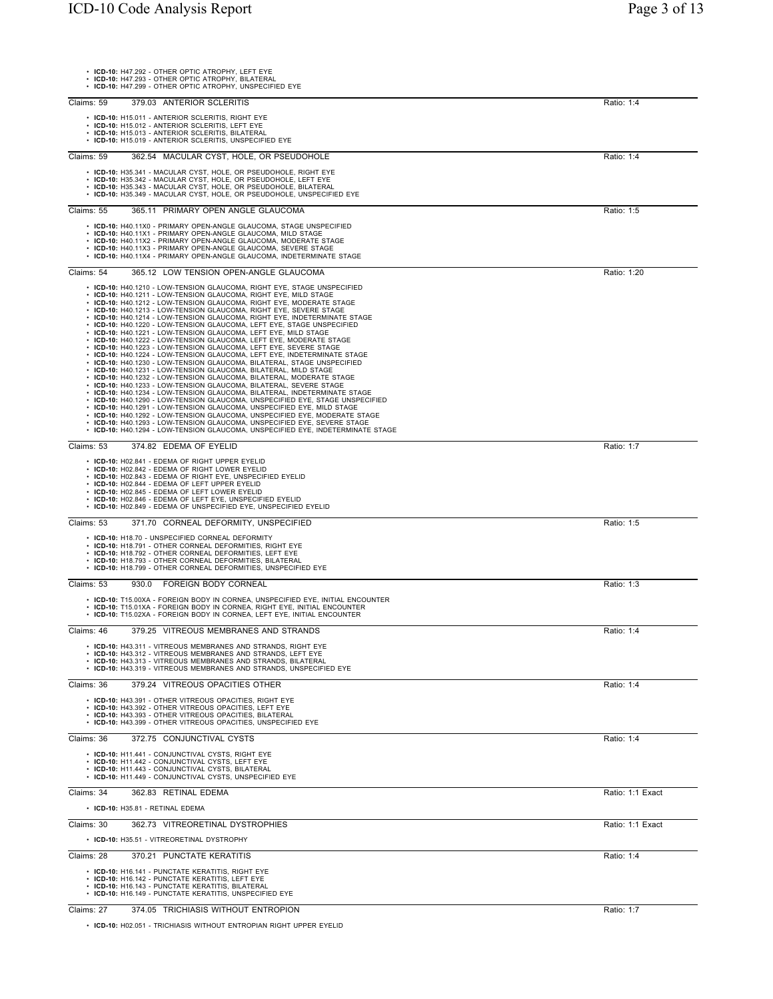| • ICD-10: H47.292 - OTHER OPTIC ATROPHY, LEFT EYE<br>• ICD-10: H47.293 - OTHER OPTIC ATROPHY, BILATERAL<br>• ICD-10: H47.299 - OTHER OPTIC ATROPHY, UNSPECIFIED EYE                                                                                                                                                                                                                                                                                                                                                                                                                                                                                                                                                                                                                                                                                                                                                                                                                                                                                                                                                                                                                                                                                                                                                                                                                                                                                                                                                           |                  |
|-------------------------------------------------------------------------------------------------------------------------------------------------------------------------------------------------------------------------------------------------------------------------------------------------------------------------------------------------------------------------------------------------------------------------------------------------------------------------------------------------------------------------------------------------------------------------------------------------------------------------------------------------------------------------------------------------------------------------------------------------------------------------------------------------------------------------------------------------------------------------------------------------------------------------------------------------------------------------------------------------------------------------------------------------------------------------------------------------------------------------------------------------------------------------------------------------------------------------------------------------------------------------------------------------------------------------------------------------------------------------------------------------------------------------------------------------------------------------------------------------------------------------------|------------------|
| Claims: 59<br>379.03 ANTERIOR SCLERITIS                                                                                                                                                                                                                                                                                                                                                                                                                                                                                                                                                                                                                                                                                                                                                                                                                                                                                                                                                                                                                                                                                                                                                                                                                                                                                                                                                                                                                                                                                       | Ratio: 1:4       |
| • ICD-10: H15.011 - ANTERIOR SCLERITIS, RIGHT EYE<br>• ICD-10: H15.012 - ANTERIOR SCLERITIS, LEFT EYE<br>• ICD-10: H15.013 - ANTERIOR SCLERITIS, BILATERAL<br>• ICD-10: H15.019 - ANTERIOR SCLERITIS, UNSPECIFIED EYE                                                                                                                                                                                                                                                                                                                                                                                                                                                                                                                                                                                                                                                                                                                                                                                                                                                                                                                                                                                                                                                                                                                                                                                                                                                                                                         |                  |
| Claims: 59<br>362.54 MACULAR CYST, HOLE, OR PSEUDOHOLE                                                                                                                                                                                                                                                                                                                                                                                                                                                                                                                                                                                                                                                                                                                                                                                                                                                                                                                                                                                                                                                                                                                                                                                                                                                                                                                                                                                                                                                                        | Ratio: 1:4       |
| • ICD-10: H35.341 - MACULAR CYST, HOLE, OR PSEUDOHOLE, RIGHT EYE<br>• ICD-10: H35.342 - MACULAR CYST, HOLE, OR PSEUDOHOLE, LEFT EYE<br>• ICD-10: H35.343 - MACULAR CYST, HOLE, OR PSEUDOHOLE, BILATERAL<br>ICD-10: H35.349 - MACULAR CYST, HOLE, OR PSEUDOHOLE, UNSPECIFIED EYE                                                                                                                                                                                                                                                                                                                                                                                                                                                                                                                                                                                                                                                                                                                                                                                                                                                                                                                                                                                                                                                                                                                                                                                                                                               |                  |
| 365.11 PRIMARY OPEN ANGLE GLAUCOMA<br>Claims: 55                                                                                                                                                                                                                                                                                                                                                                                                                                                                                                                                                                                                                                                                                                                                                                                                                                                                                                                                                                                                                                                                                                                                                                                                                                                                                                                                                                                                                                                                              | Ratio: 1:5       |
| • ICD-10: H40.11X0 - PRIMARY OPEN-ANGLE GLAUCOMA, STAGE UNSPECIFIED<br>• ICD-10: H40.11X1 - PRIMARY OPEN-ANGLE GLAUCOMA, MILD STAGE<br>• ICD-10: H40.11X2 - PRIMARY OPEN-ANGLE GLAUCOMA, MODERATE STAGE<br>• ICD-10: H40.11X3 - PRIMARY OPEN-ANGLE GLAUCOMA, SEVERE STAGE<br>• ICD-10: H40.11X4 - PRIMARY OPEN-ANGLE GLAUCOMA, INDETERMINATE STAGE                                                                                                                                                                                                                                                                                                                                                                                                                                                                                                                                                                                                                                                                                                                                                                                                                                                                                                                                                                                                                                                                                                                                                                            |                  |
| Claims: 54<br>365.12 LOW TENSION OPEN-ANGLE GLAUCOMA                                                                                                                                                                                                                                                                                                                                                                                                                                                                                                                                                                                                                                                                                                                                                                                                                                                                                                                                                                                                                                                                                                                                                                                                                                                                                                                                                                                                                                                                          | Ratio: 1:20      |
| • ICD-10: H40.1210 - LOW-TENSION GLAUCOMA, RIGHT EYE, STAGE UNSPECIFIED<br>• ICD-10: H40.1211 - LOW-TENSION GLAUCOMA, RIGHT EYE, MILD STAGE<br>• ICD-10: H40.1212 - LOW-TENSION GLAUCOMA, RIGHT EYE, MODERATE STAGE<br>• ICD-10: H40.1213 - LOW-TENSION GLAUCOMA, RIGHT EYE, SEVERE STAGE<br>• ICD-10: H40.1214 - LOW-TENSION GLAUCOMA, RIGHT EYE, INDETERMINATE STAGE<br>• ICD-10: H40.1220 - LOW-TENSION GLAUCOMA, LEFT EYE, STAGE UNSPECIFIED<br>• ICD-10: H40.1221 - LOW-TENSION GLAUCOMA, LEFT EYE, MILD STAGE<br>• ICD-10: H40.1222 - LOW-TENSION GLAUCOMA, LEFT EYE, MODERATE STAGE<br>• ICD-10: H40.1223 - LOW-TENSION GLAUCOMA, LEFT EYE, SEVERE STAGE<br>• ICD-10: H40.1224 - LOW-TENSION GLAUCOMA, LEFT EYE, INDETERMINATE STAGE<br>· ICD-10: H40.1230 - LOW-TENSION GLAUCOMA, BILATERAL, STAGE UNSPECIFIED<br>• ICD-10: H40.1231 - LOW-TENSION GLAUCOMA, BILATERAL, MILD STAGE<br>• ICD-10: H40.1232 - LOW-TENSION GLAUCOMA, BILATERAL, MODERATE STAGE<br>· ICD-10: H40.1233 - LOW-TENSION GLAUCOMA, BILATERAL, SEVERE STAGE<br>• ICD-10: H40.1234 - LOW-TENSION GLAUCOMA, BILATERAL, INDETERMINATE STAGE<br>• ICD-10: H40.1290 - LOW-TENSION GLAUCOMA, UNSPECIFIED EYE, STAGE UNSPECIFIED<br>• ICD-10: H40.1291 - LOW-TENSION GLAUCOMA, UNSPECIFIED EYE, MILD STAGE<br>• ICD-10: H40.1292 - LOW-TENSION GLAUCOMA, UNSPECIFIED EYE, MODERATE STAGE<br>• ICD-10: H40.1293 - LOW-TENSION GLAUCOMA, UNSPECIFIED EYE, SEVERE STAGE<br>• ICD-10: H40.1294 - LOW-TENSION GLAUCOMA, UNSPECIFIED EYE, INDETERMINATE STAGE |                  |
| Claims: 53<br>374.82 EDEMA OF EYELID                                                                                                                                                                                                                                                                                                                                                                                                                                                                                                                                                                                                                                                                                                                                                                                                                                                                                                                                                                                                                                                                                                                                                                                                                                                                                                                                                                                                                                                                                          | Ratio: 1:7       |
| • ICD-10: H02.841 - EDEMA OF RIGHT UPPER EYELID<br>• ICD-10: H02.842 - EDEMA OF RIGHT LOWER EYELID<br>• ICD-10: H02.843 - EDEMA OF RIGHT EYE, UNSPECIFIED EYELID<br>• ICD-10: H02.844 - EDEMA OF LEFT UPPER EYELID<br>• ICD-10: H02.845 - EDEMA OF LEFT LOWER EYELID<br>• ICD-10: H02.846 - EDEMA OF LEFT EYE, UNSPECIFIED EYELID<br>• ICD-10: H02.849 - EDEMA OF UNSPECIFIED EYE, UNSPECIFIED EYELID                                                                                                                                                                                                                                                                                                                                                                                                                                                                                                                                                                                                                                                                                                                                                                                                                                                                                                                                                                                                                                                                                                                         |                  |
| Claims: 53<br>371.70 CORNEAL DEFORMITY, UNSPECIFIED                                                                                                                                                                                                                                                                                                                                                                                                                                                                                                                                                                                                                                                                                                                                                                                                                                                                                                                                                                                                                                                                                                                                                                                                                                                                                                                                                                                                                                                                           | Ratio: 1:5       |
| • ICD-10: H18.70 - UNSPECIFIED CORNEAL DEFORMITY<br>• ICD-10: H18.791 - OTHER CORNEAL DEFORMITIES, RIGHT EYE<br>• ICD-10: H18.792 - OTHER CORNEAL DEFORMITIES, LEFT EYE<br>• ICD-10: H18.793 - OTHER CORNEAL DEFORMITIES, BILATERAL<br>• ICD-10: H18.799 - OTHER CORNEAL DEFORMITIES, UNSPECIFIED EYE                                                                                                                                                                                                                                                                                                                                                                                                                                                                                                                                                                                                                                                                                                                                                                                                                                                                                                                                                                                                                                                                                                                                                                                                                         |                  |
| Claims: 53<br>930.0 FOREIGN BODY CORNEAL                                                                                                                                                                                                                                                                                                                                                                                                                                                                                                                                                                                                                                                                                                                                                                                                                                                                                                                                                                                                                                                                                                                                                                                                                                                                                                                                                                                                                                                                                      | Ratio: 1:3       |
| • ICD-10: T15.00XA - FOREIGN BODY IN CORNEA, UNSPECIFIED EYE, INITIAL ENCOUNTER<br>• ICD-10: T15.01XA - FOREIGN BODY IN CORNEA, RIGHT EYE, INITIAL ENCOUNTER<br>• ICD-10: T15.02XA - FOREIGN BODY IN CORNEA, LEFT EYE, INITIAL ENCOUNTER                                                                                                                                                                                                                                                                                                                                                                                                                                                                                                                                                                                                                                                                                                                                                                                                                                                                                                                                                                                                                                                                                                                                                                                                                                                                                      |                  |
| 379.25 VITREOUS MEMBRANES AND STRANDS<br>Claims: 46                                                                                                                                                                                                                                                                                                                                                                                                                                                                                                                                                                                                                                                                                                                                                                                                                                                                                                                                                                                                                                                                                                                                                                                                                                                                                                                                                                                                                                                                           | Ratio: 1:4       |
| • ICD-10: H43.311 - VITREOUS MEMBRANES AND STRANDS, RIGHT EYE<br>• ICD-10: H43.312 - VITREOUS MEMBRANES AND STRANDS, LEFT EYE<br>• ICD-10: H43.313 - VITREOUS MEMBRANES AND STRANDS, BILATERAL<br>• ICD-10: H43.319 - VITREOUS MEMBRANES AND STRANDS. UNSPECIFIED EYE                                                                                                                                                                                                                                                                                                                                                                                                                                                                                                                                                                                                                                                                                                                                                                                                                                                                                                                                                                                                                                                                                                                                                                                                                                                         |                  |
| 379.24 VITREOUS OPACITIES OTHER<br>Claims: 36                                                                                                                                                                                                                                                                                                                                                                                                                                                                                                                                                                                                                                                                                                                                                                                                                                                                                                                                                                                                                                                                                                                                                                                                                                                                                                                                                                                                                                                                                 | Ratio: 1:4       |
| • ICD-10: H43.391 - OTHER VITREOUS OPACITIES, RIGHT EYE<br>• ICD-10: H43.392 - OTHER VITREOUS OPACITIES, LEFT EYE<br>• ICD-10: H43.393 - OTHER VITREOUS OPACITIES, BILATERAL<br>• ICD-10: H43.399 - OTHER VITREOUS OPACITIES, UNSPECIFIED EYE                                                                                                                                                                                                                                                                                                                                                                                                                                                                                                                                                                                                                                                                                                                                                                                                                                                                                                                                                                                                                                                                                                                                                                                                                                                                                 |                  |
| Claims: 36<br>372.75 CONJUNCTIVAL CYSTS                                                                                                                                                                                                                                                                                                                                                                                                                                                                                                                                                                                                                                                                                                                                                                                                                                                                                                                                                                                                                                                                                                                                                                                                                                                                                                                                                                                                                                                                                       | Ratio: 1:4       |
| • ICD-10: H11.441 - CONJUNCTIVAL CYSTS, RIGHT EYE<br>• ICD-10: H11.442 - CONJUNCTIVAL CYSTS, LEFT EYE<br>• ICD-10: H11.443 - CONJUNCTIVAL CYSTS, BILATERAL<br>• ICD-10: H11.449 - CONJUNCTIVAL CYSTS. UNSPECIFIED EYE                                                                                                                                                                                                                                                                                                                                                                                                                                                                                                                                                                                                                                                                                                                                                                                                                                                                                                                                                                                                                                                                                                                                                                                                                                                                                                         |                  |
| 362.83 RETINAL EDEMA<br>Claims: 34                                                                                                                                                                                                                                                                                                                                                                                                                                                                                                                                                                                                                                                                                                                                                                                                                                                                                                                                                                                                                                                                                                                                                                                                                                                                                                                                                                                                                                                                                            | Ratio: 1:1 Exact |
| • ICD-10: H35.81 - RETINAL EDEMA                                                                                                                                                                                                                                                                                                                                                                                                                                                                                                                                                                                                                                                                                                                                                                                                                                                                                                                                                                                                                                                                                                                                                                                                                                                                                                                                                                                                                                                                                              |                  |
| Claims: 30<br>362.73 VITREORETINAL DYSTROPHIES                                                                                                                                                                                                                                                                                                                                                                                                                                                                                                                                                                                                                                                                                                                                                                                                                                                                                                                                                                                                                                                                                                                                                                                                                                                                                                                                                                                                                                                                                | Ratio: 1:1 Exact |
| • ICD-10: H35.51 - VITREORETINAL DYSTROPHY                                                                                                                                                                                                                                                                                                                                                                                                                                                                                                                                                                                                                                                                                                                                                                                                                                                                                                                                                                                                                                                                                                                                                                                                                                                                                                                                                                                                                                                                                    |                  |
| Claims: 28<br>370.21 PUNCTATE KERATITIS                                                                                                                                                                                                                                                                                                                                                                                                                                                                                                                                                                                                                                                                                                                                                                                                                                                                                                                                                                                                                                                                                                                                                                                                                                                                                                                                                                                                                                                                                       | Ratio: 1:4       |
| • ICD-10: H16.141 - PUNCTATE KERATITIS, RIGHT EYE<br>• ICD-10: H16.142 - PUNCTATE KERATITIS, LEFT EYE<br>• ICD-10: H16.143 - PUNCTATE KERATITIS, BILATERAL<br>• ICD-10: H16.149 - PUNCTATE KERATITIS, UNSPECIFIED EYE                                                                                                                                                                                                                                                                                                                                                                                                                                                                                                                                                                                                                                                                                                                                                                                                                                                                                                                                                                                                                                                                                                                                                                                                                                                                                                         |                  |
| 374.05 TRICHIASIS WITHOUT ENTROPION<br>Claims: 27                                                                                                                                                                                                                                                                                                                                                                                                                                                                                                                                                                                                                                                                                                                                                                                                                                                                                                                                                                                                                                                                                                                                                                                                                                                                                                                                                                                                                                                                             | Ratio: 1:7       |

• **ICD-10:** H02.051 - TRICHIASIS WITHOUT ENTROPIAN RIGHT UPPER EYELID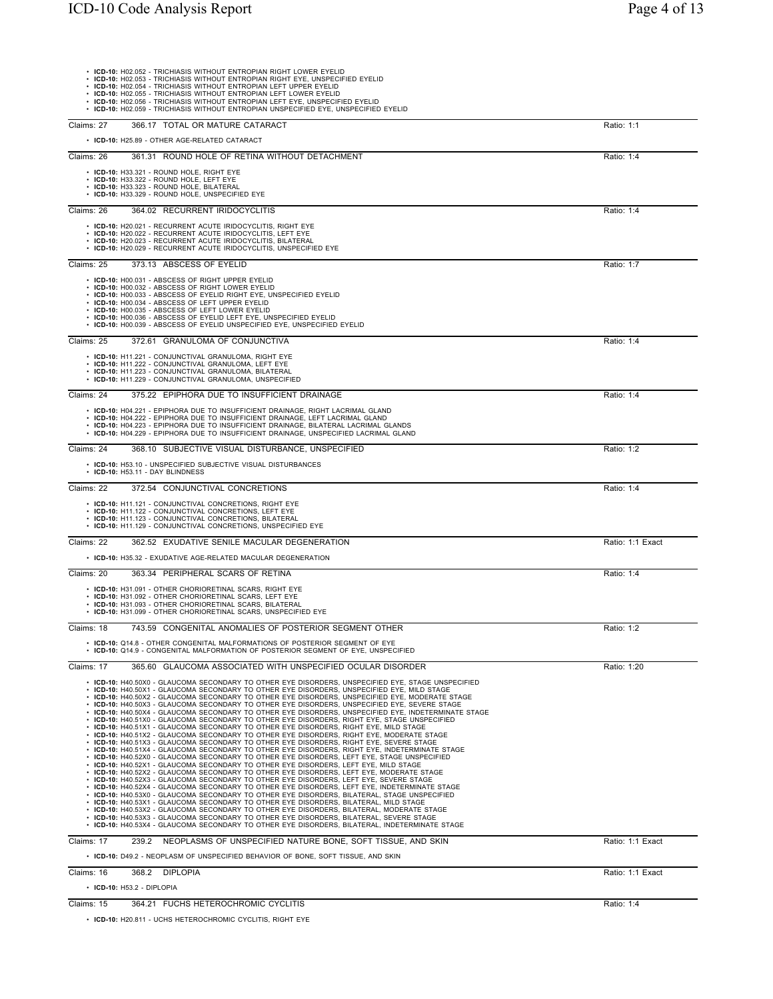| • ICD-10: H02.052 - TRICHIASIS WITHOUT ENTROPIAN RIGHT LOWER EYELID<br>• ICD-10: H02.053 - TRICHIASIS WITHOUT ENTROPIAN RIGHT EYE, UNSPECIFIED EYELID<br>· ICD-10: H02.054 - TRICHIASIS WITHOUT ENTROPIAN LEFT UPPER EYELID<br>• ICD-10: H02.055 - TRICHIASIS WITHOUT ENTROPIAN LEFT LOWER EYELID<br>· ICD-10: H02.056 - TRICHIASIS WITHOUT ENTROPIAN LEFT EYE, UNSPECIFIED EYELID<br>• ICD-10: H02.059 - TRICHIASIS WITHOUT ENTROPIAN UNSPECIFIED EYE, UNSPECIFIED EYELID                                                                                                                                                                                                                                                                                                                                                                                                                                                                                                                                                                                                                                                                                                                                                                                                                                                                                                                                                                                                                                                                                                                                                                                                                                                                                                                                                                                                                                                                                        |                  |
|-------------------------------------------------------------------------------------------------------------------------------------------------------------------------------------------------------------------------------------------------------------------------------------------------------------------------------------------------------------------------------------------------------------------------------------------------------------------------------------------------------------------------------------------------------------------------------------------------------------------------------------------------------------------------------------------------------------------------------------------------------------------------------------------------------------------------------------------------------------------------------------------------------------------------------------------------------------------------------------------------------------------------------------------------------------------------------------------------------------------------------------------------------------------------------------------------------------------------------------------------------------------------------------------------------------------------------------------------------------------------------------------------------------------------------------------------------------------------------------------------------------------------------------------------------------------------------------------------------------------------------------------------------------------------------------------------------------------------------------------------------------------------------------------------------------------------------------------------------------------------------------------------------------------------------------------------------------------|------------------|
| 366.17 TOTAL OR MATURE CATARACT<br>Claims: 27                                                                                                                                                                                                                                                                                                                                                                                                                                                                                                                                                                                                                                                                                                                                                                                                                                                                                                                                                                                                                                                                                                                                                                                                                                                                                                                                                                                                                                                                                                                                                                                                                                                                                                                                                                                                                                                                                                                     | Ratio: 1:1       |
| • ICD-10: H25.89 - OTHER AGE-RELATED CATARACT                                                                                                                                                                                                                                                                                                                                                                                                                                                                                                                                                                                                                                                                                                                                                                                                                                                                                                                                                                                                                                                                                                                                                                                                                                                                                                                                                                                                                                                                                                                                                                                                                                                                                                                                                                                                                                                                                                                     |                  |
| Claims: 26<br>361.31 ROUND HOLE OF RETINA WITHOUT DETACHMENT<br>• ICD-10: H33.321 - ROUND HOLE, RIGHT EYE                                                                                                                                                                                                                                                                                                                                                                                                                                                                                                                                                                                                                                                                                                                                                                                                                                                                                                                                                                                                                                                                                                                                                                                                                                                                                                                                                                                                                                                                                                                                                                                                                                                                                                                                                                                                                                                         | Ratio: 1:4       |
| · ICD-10: H33.322 - ROUND HOLE, LEFT EYE<br>· ICD-10: H33.323 - ROUND HOLE, BILATERAL<br>• ICD-10: H33.329 - ROUND HOLE, UNSPECIFIED EYE                                                                                                                                                                                                                                                                                                                                                                                                                                                                                                                                                                                                                                                                                                                                                                                                                                                                                                                                                                                                                                                                                                                                                                                                                                                                                                                                                                                                                                                                                                                                                                                                                                                                                                                                                                                                                          |                  |
| Claims: 26<br>364.02 RECURRENT IRIDOCYCLITIS                                                                                                                                                                                                                                                                                                                                                                                                                                                                                                                                                                                                                                                                                                                                                                                                                                                                                                                                                                                                                                                                                                                                                                                                                                                                                                                                                                                                                                                                                                                                                                                                                                                                                                                                                                                                                                                                                                                      | Ratio: 1:4       |
| • ICD-10: H20.021 - RECURRENT ACUTE IRIDOCYCLITIS, RIGHT EYE<br>• ICD-10: H20.022 - RECURRENT ACUTE IRIDOCYCLITIS, LEFT EYE<br>• ICD-10: H20.023 - RECURRENT ACUTE IRIDOCYCLITIS, BILATERAL<br>· ICD-10: H20.029 - RECURRENT ACUTE IRIDOCYCLITIS, UNSPECIFIED EYE                                                                                                                                                                                                                                                                                                                                                                                                                                                                                                                                                                                                                                                                                                                                                                                                                                                                                                                                                                                                                                                                                                                                                                                                                                                                                                                                                                                                                                                                                                                                                                                                                                                                                                 |                  |
| 373.13 ABSCESS OF EYELID<br>Claims: 25                                                                                                                                                                                                                                                                                                                                                                                                                                                                                                                                                                                                                                                                                                                                                                                                                                                                                                                                                                                                                                                                                                                                                                                                                                                                                                                                                                                                                                                                                                                                                                                                                                                                                                                                                                                                                                                                                                                            | Ratio: 1:7       |
| • ICD-10: H00.031 - ABSCESS OF RIGHT UPPER EYELID<br>• ICD-10: H00.032 - ABSCESS OF RIGHT LOWER EYELID<br>• ICD-10: H00.033 - ABSCESS OF EYELID RIGHT EYE, UNSPECIFIED EYELID<br>• ICD-10: H00.034 - ABSCESS OF LEFT UPPER EYELID<br>· ICD-10: H00.035 - ABSCESS OF LEFT LOWER EYELID<br>• ICD-10: H00.036 - ABSCESS OF EYELID LEFT EYE, UNSPECIFIED EYELID<br>• ICD-10: H00.039 - ABSCESS OF EYELID UNSPECIFIED EYE, UNSPECIFIED EYELID                                                                                                                                                                                                                                                                                                                                                                                                                                                                                                                                                                                                                                                                                                                                                                                                                                                                                                                                                                                                                                                                                                                                                                                                                                                                                                                                                                                                                                                                                                                          |                  |
| 372.61 GRANULOMA OF CONJUNCTIVA<br>Claims: 25                                                                                                                                                                                                                                                                                                                                                                                                                                                                                                                                                                                                                                                                                                                                                                                                                                                                                                                                                                                                                                                                                                                                                                                                                                                                                                                                                                                                                                                                                                                                                                                                                                                                                                                                                                                                                                                                                                                     | Ratio: 1:4       |
| • ICD-10: H11.221 - CONJUNCTIVAL GRANULOMA, RIGHT EYE<br>• ICD-10: H11.222 - CONJUNCTIVAL GRANULOMA, LEFT EYE<br>· ICD-10: H11.223 - CONJUNCTIVAL GRANULOMA, BILATERAL<br>• ICD-10: H11.229 - CONJUNCTIVAL GRANULOMA, UNSPECIFIED                                                                                                                                                                                                                                                                                                                                                                                                                                                                                                                                                                                                                                                                                                                                                                                                                                                                                                                                                                                                                                                                                                                                                                                                                                                                                                                                                                                                                                                                                                                                                                                                                                                                                                                                 |                  |
| Claims: 24<br>375.22 EPIPHORA DUE TO INSUFFICIENT DRAINAGE                                                                                                                                                                                                                                                                                                                                                                                                                                                                                                                                                                                                                                                                                                                                                                                                                                                                                                                                                                                                                                                                                                                                                                                                                                                                                                                                                                                                                                                                                                                                                                                                                                                                                                                                                                                                                                                                                                        | Ratio: 1:4       |
| • ICD-10: H04.221 - EPIPHORA DUE TO INSUFFICIENT DRAINAGE, RIGHT LACRIMAL GLAND<br>• ICD-10: H04.222 - EPIPHORA DUE TO INSUFFICIENT DRAINAGE, LEFT LACRIMAL GLAND<br>• ICD-10: H04.223 - EPIPHORA DUE TO INSUFFICIENT DRAINAGE, BILATERAL LACRIMAL GLANDS<br>• ICD-10: H04.229 - EPIPHORA DUE TO INSUFFICIENT DRAINAGE, UNSPECIFIED LACRIMAL GLAND                                                                                                                                                                                                                                                                                                                                                                                                                                                                                                                                                                                                                                                                                                                                                                                                                                                                                                                                                                                                                                                                                                                                                                                                                                                                                                                                                                                                                                                                                                                                                                                                                |                  |
| 368.10 SUBJECTIVE VISUAL DISTURBANCE, UNSPECIFIED<br>Claims: 24                                                                                                                                                                                                                                                                                                                                                                                                                                                                                                                                                                                                                                                                                                                                                                                                                                                                                                                                                                                                                                                                                                                                                                                                                                                                                                                                                                                                                                                                                                                                                                                                                                                                                                                                                                                                                                                                                                   | Ratio: 1:2       |
| • ICD-10: H53.10 - UNSPECIFIED SUBJECTIVE VISUAL DISTURBANCES<br>• ICD-10: H53.11 - DAY BLINDNESS                                                                                                                                                                                                                                                                                                                                                                                                                                                                                                                                                                                                                                                                                                                                                                                                                                                                                                                                                                                                                                                                                                                                                                                                                                                                                                                                                                                                                                                                                                                                                                                                                                                                                                                                                                                                                                                                 |                  |
| 372.54 CONJUNCTIVAL CONCRETIONS<br>Claims: 22                                                                                                                                                                                                                                                                                                                                                                                                                                                                                                                                                                                                                                                                                                                                                                                                                                                                                                                                                                                                                                                                                                                                                                                                                                                                                                                                                                                                                                                                                                                                                                                                                                                                                                                                                                                                                                                                                                                     | Ratio: 1:4       |
| • ICD-10: H11.121 - CONJUNCTIVAL CONCRETIONS, RIGHT EYE<br>• ICD-10: H11.122 - CONJUNCTIVAL CONCRETIONS, LEFT EYE<br>• ICD-10: H11.123 - CONJUNCTIVAL CONCRETIONS, BILATERAL<br>• ICD-10: H11.129 - CONJUNCTIVAL CONCRETIONS, UNSPECIFIED EYE                                                                                                                                                                                                                                                                                                                                                                                                                                                                                                                                                                                                                                                                                                                                                                                                                                                                                                                                                                                                                                                                                                                                                                                                                                                                                                                                                                                                                                                                                                                                                                                                                                                                                                                     |                  |
| Claims: 22<br>362.52 EXUDATIVE SENILE MACULAR DEGENERATION                                                                                                                                                                                                                                                                                                                                                                                                                                                                                                                                                                                                                                                                                                                                                                                                                                                                                                                                                                                                                                                                                                                                                                                                                                                                                                                                                                                                                                                                                                                                                                                                                                                                                                                                                                                                                                                                                                        | Ratio: 1:1 Exact |
| • ICD-10: H35.32 - EXUDATIVE AGE-RELATED MACULAR DEGENERATION                                                                                                                                                                                                                                                                                                                                                                                                                                                                                                                                                                                                                                                                                                                                                                                                                                                                                                                                                                                                                                                                                                                                                                                                                                                                                                                                                                                                                                                                                                                                                                                                                                                                                                                                                                                                                                                                                                     |                  |
| Claims: 20<br>363.34 PERIPHERAL SCARS OF RETINA                                                                                                                                                                                                                                                                                                                                                                                                                                                                                                                                                                                                                                                                                                                                                                                                                                                                                                                                                                                                                                                                                                                                                                                                                                                                                                                                                                                                                                                                                                                                                                                                                                                                                                                                                                                                                                                                                                                   | Ratio: 1:4       |
| • ICD-10: H31.091 - OTHER CHORIORETINAL SCARS, RIGHT EYE<br>• ICD-10: H31.092 - OTHER CHORIORETINAL SCARS, LEFT EYE<br>• ICD-10: H31.093 - OTHER CHORIORETINAL SCARS, BILATERAL<br>• ICD-10: H31.099 - OTHER CHORIORETINAL SCARS, UNSPECIFIED EYE                                                                                                                                                                                                                                                                                                                                                                                                                                                                                                                                                                                                                                                                                                                                                                                                                                                                                                                                                                                                                                                                                                                                                                                                                                                                                                                                                                                                                                                                                                                                                                                                                                                                                                                 |                  |
| Claims: 18<br>743.59 CONGENITAL ANOMALIES OF POSTERIOR SEGMENT OTHER                                                                                                                                                                                                                                                                                                                                                                                                                                                                                                                                                                                                                                                                                                                                                                                                                                                                                                                                                                                                                                                                                                                                                                                                                                                                                                                                                                                                                                                                                                                                                                                                                                                                                                                                                                                                                                                                                              | Ratio: 1:2       |
| • ICD-10: Q14.8 - OTHER CONGENITAL MALFORMATIONS OF POSTERIOR SEGMENT OF EYE<br>• ICD-10: Q14.9 - CONGENITAL MALFORMATION OF POSTERIOR SEGMENT OF EYE. UNSPECIFIED                                                                                                                                                                                                                                                                                                                                                                                                                                                                                                                                                                                                                                                                                                                                                                                                                                                                                                                                                                                                                                                                                                                                                                                                                                                                                                                                                                                                                                                                                                                                                                                                                                                                                                                                                                                                |                  |
| Claims: 17<br>365.60 GLAUCOMA ASSOCIATED WITH UNSPECIFIED OCULAR DISORDER                                                                                                                                                                                                                                                                                                                                                                                                                                                                                                                                                                                                                                                                                                                                                                                                                                                                                                                                                                                                                                                                                                                                                                                                                                                                                                                                                                                                                                                                                                                                                                                                                                                                                                                                                                                                                                                                                         | Ratio: 1:20      |
| • ICD-10: H40.50X0 - GLAUCOMA SECONDARY TO OTHER EYE DISORDERS, UNSPECIFIED EYE, STAGE UNSPECIFIED<br>· ICD-10: H40.50X1 - GLAUCOMA SECONDARY TO OTHER EYE DISORDERS, UNSPECIFIED EYE, MILD STAGE<br>• ICD-10: H40.50X2 - GLAUCOMA SECONDARY TO OTHER EYE DISORDERS, UNSPECIFIED EYE, MODERATE STAGE<br>• ICD-10: H40.50X3 - GLAUCOMA SECONDARY TO OTHER EYE DISORDERS, UNSPECIFIED EYE, SEVERE STAGE<br>· ICD-10: H40.50X4 - GLAUCOMA SECONDARY TO OTHER EYE DISORDERS, UNSPECIFIED EYE, INDETERMINATE STAGE<br>• ICD-10: H40.51X0 - GLAUCOMA SECONDARY TO OTHER EYE DISORDERS, RIGHT EYE, STAGE UNSPECIFIED<br>• ICD-10: H40.51X1 - GLAUCOMA SECONDARY TO OTHER EYE DISORDERS, RIGHT EYE, MILD STAGE<br>• ICD-10: H40.51X2 - GLAUCOMA SECONDARY TO OTHER EYE DISORDERS, RIGHT EYE, MODERATE STAGE<br>· ICD-10: H40.51X3 - GLAUCOMA SECONDARY TO OTHER EYE DISORDERS, RIGHT EYE, SEVERE STAGE<br>· ICD-10: H40.51X4 - GLAUCOMA SECONDARY TO OTHER EYE DISORDERS, RIGHT EYE, INDETERMINATE STAGE<br>· ICD-10: H40.52X0 - GLAUCOMA SECONDARY TO OTHER EYE DISORDERS, LEFT EYE, STAGE UNSPECIFIED<br>· ICD-10: H40.52X1 - GLAUCOMA SECONDARY TO OTHER EYE DISORDERS, LEFT EYE, MILD STAGE<br>• ICD-10: H40.52X2 - GLAUCOMA SECONDARY TO OTHER EYE DISORDERS, LEFT EYE, MODERATE STAGE<br>· ICD-10: H40.52X3 - GLAUCOMA SECONDARY TO OTHER EYE DISORDERS, LEFT EYE, SEVERE STAGE<br>· ICD-10: H40.52X4 - GLAUCOMA SECONDARY TO OTHER EYE DISORDERS, LEFT EYE, INDETERMINATE STAGE<br>· ICD-10: H40.53X0 - GLAUCOMA SECONDARY TO OTHER EYE DISORDERS, BILATERAL, STAGE UNSPECIFIED<br>· ICD-10: H40.53X1 - GLAUCOMA SECONDARY TO OTHER EYE DISORDERS, BILATERAL, MILD STAGE<br>· ICD-10: H40.53X2 - GLAUCOMA SECONDARY TO OTHER EYE DISORDERS, BILATERAL, MODERATE STAGE<br>• ICD-10: H40.53X3 - GLAUCOMA SECONDARY TO OTHER EYE DISORDERS, BILATERAL, SEVERE STAGE<br>· ICD-10: H40.53X4 - GLAUCOMA SECONDARY TO OTHER EYE DISORDERS, BILATERAL, INDETERMINATE STAGE |                  |
| Claims: 17<br>NEOPLASMS OF UNSPECIFIED NATURE BONE, SOFT TISSUE, AND SKIN<br>239.2                                                                                                                                                                                                                                                                                                                                                                                                                                                                                                                                                                                                                                                                                                                                                                                                                                                                                                                                                                                                                                                                                                                                                                                                                                                                                                                                                                                                                                                                                                                                                                                                                                                                                                                                                                                                                                                                                | Ratio: 1:1 Exact |
| • ICD-10: D49.2 - NEOPLASM OF UNSPECIFIED BEHAVIOR OF BONE, SOFT TISSUE, AND SKIN<br>Claims: 16<br>368.2 DIPLOPIA                                                                                                                                                                                                                                                                                                                                                                                                                                                                                                                                                                                                                                                                                                                                                                                                                                                                                                                                                                                                                                                                                                                                                                                                                                                                                                                                                                                                                                                                                                                                                                                                                                                                                                                                                                                                                                                 | Ratio: 1:1 Exact |
| • ICD-10: H53.2 - DIPLOPIA                                                                                                                                                                                                                                                                                                                                                                                                                                                                                                                                                                                                                                                                                                                                                                                                                                                                                                                                                                                                                                                                                                                                                                                                                                                                                                                                                                                                                                                                                                                                                                                                                                                                                                                                                                                                                                                                                                                                        |                  |
| Claims: 15<br>364.21 FUCHS HETEROCHROMIC CYCLITIS                                                                                                                                                                                                                                                                                                                                                                                                                                                                                                                                                                                                                                                                                                                                                                                                                                                                                                                                                                                                                                                                                                                                                                                                                                                                                                                                                                                                                                                                                                                                                                                                                                                                                                                                                                                                                                                                                                                 | Ratio: 1:4       |

• **ICD-10:** H20.811 - UCHS HETEROCHROMIC CYCLITIS, RIGHT EYE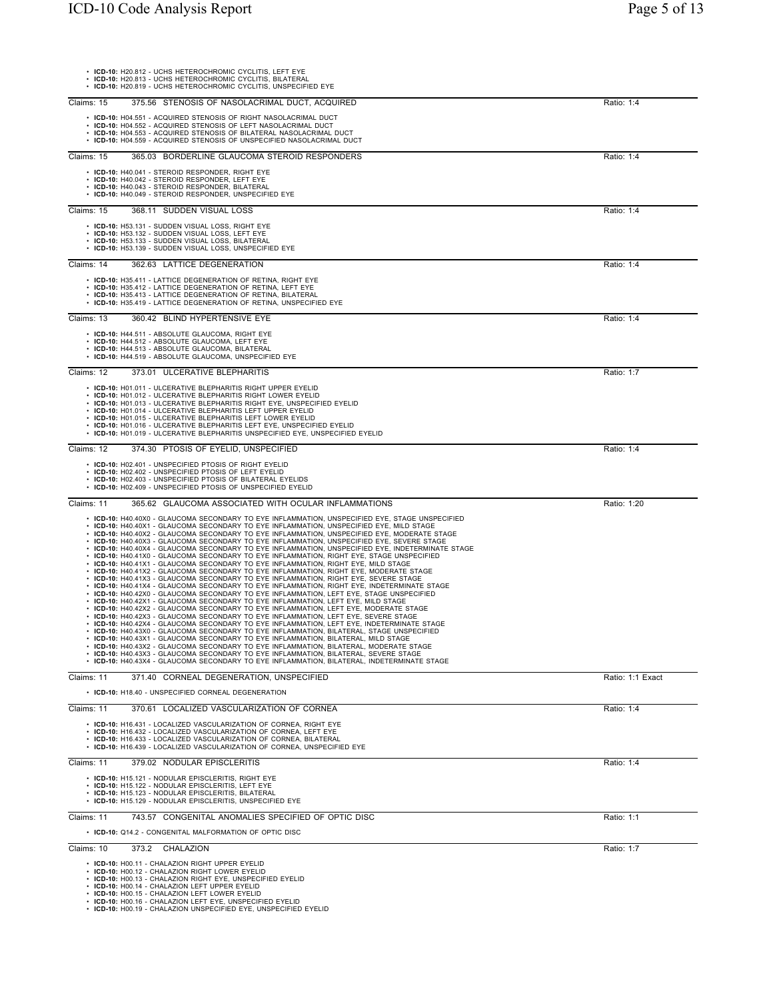Claims: 15 375.56 STENOSIS OF NASOLACRIMAL DUCT,

Claims: 15 365.03 BORDERLINE GLAUCOMA STEROID R

| 2-TV COUC AIRIYSIS INCPOIT                                                                                                                                                                                                                                                                                                                                          | $1$ agu $J$ OI $1J$ |
|---------------------------------------------------------------------------------------------------------------------------------------------------------------------------------------------------------------------------------------------------------------------------------------------------------------------------------------------------------------------|---------------------|
|                                                                                                                                                                                                                                                                                                                                                                     |                     |
| • ICD-10: H20.812 - UCHS HETEROCHROMIC CYCLITIS, LEFT EYE<br>• ICD-10: H20.813 - UCHS HETEROCHROMIC CYCLITIS. BILATERAL<br>• ICD-10: H20.819 - UCHS HETEROCHROMIC CYCLITIS. UNSPECIFIED EYE                                                                                                                                                                         |                     |
| าร: 15<br>375.56 STENOSIS OF NASOLACRIMAL DUCT, ACQUIRED<br>Ratio: 1:4<br>• ICD-10: H04.551 - ACQUIRED STENOSIS OF RIGHT NASOLACRIMAL DUCT<br>$\cdot$ ICD-10: H04.552 - ACQUIRED STENOSIS OF LEFT NASOLACRIMAL DUCT<br>ICD-10: H04.553 - ACQUIRED STENOSIS OF BILATERAL NASOLACRIMAL DUCT<br>⋅ ICD-10: H04.559 - ACQUIRED STENOSIS OF UNSPECIFIED NASOLACRIMAL DUCT |                     |
| 365.03 BORDERLINE GLAUCOMA STEROID RESPONDERS<br>Ratio: 1:4<br>าร: 15<br>• ICD-10: H40.041 - STEROID RESPONDER. RIGHT EYE<br>• ICD-10: H40.042 - STEROID RESPONDER. LEFT EYE<br>• ICD-10: H40.043 - STEROID RESPONDER. BILATERAL<br>ICD-10: H40.049 - STEROID RESPONDER. UNSPECIFIED EYE                                                                            |                     |
| Ratio: 1:4<br>368.11 SUDDEN VISUAL LOSS<br>าร: 15<br>• ICD-10: H53.131 - SUDDEN VISUAL LOSS, RIGHT EYE<br>• ICD-10: H53.132 - SUDDEN VISUAL LOSS. LEFT EYE<br><b>ICD-10:</b> H53.133 - SUDDEN VISUAL LOSS. BILATERAL<br>ICD-10: H53.139 - SUDDEN VISUAL LOSS, UNSPECIFIED EYE                                                                                       |                     |

• ICD-10: H53.131 - SUDDEN VISUAL LOSS, RIGHT EYE<br>• ICD-10: H53.132 - SUDDEN VISUAL LOSS, LEFT EYE<br>• ICD-10: H53.133 - SUDDEN VISUAL LOSS, BILATERAL<br>• ICD-10: H53.139 - SUDDEN VISUAL LOSS, UNSPECIFIED EYE Claims: 14 362.63 LATTICE DEGENERATION Ratio: 1:4 • ICD-10: H35.411 - LATTICE DEGENERATION OF RETINA, RIGHT EYE<br>• ICD-10: H35.412 - LATTICE DEGENERATION OF RETINA, LEIFT EYE<br>• ICD-10: H35.413 - LATTICE DEGENERATION OF RETINA, BILATERAL<br>• ICD-10: H35.419 - LATTICE DEGENERA

Claims: 15 368.11 SUDDEN VISUAL LOSS

Claims: 13 360.42 BLIND HYPERTENSIVE EYE Ratio: 1:4

• ICD-10: H44.511 - ABSOLUTE GLAUCOMA, RIGHT EYE<br>• ICD-10: H44.512 - ABSOLUTE GLAUCOMA, LEFT EYE<br>• ICD-10: H44.512 - ABSOLUTE GLAUCOMA, BILATERAL<br>• ICD-10: H44.519 - ABSOLUTE GLAUCOMA, UNSPECIFIED EYE

Claims: 12 373.01 ULCERATIVE BLEPHARITIS Ratio: 1:7

• ICD-10: H01.011 - ULCERATIVE BLEPHARITIS RIGHT UPPER EYELID<br>• ICD-10: H01.012 - ULCERATIVE BLEPHARITIS RIGHT LOWER EYELID<br>• ICD-10: H01.013 - ULCERATIVE BLEPHARITIS RIGHT EYE, UNSPECIFIED EYELID<br>• ICD-10: H01.015 - ULCER

Claims: 12 374.30 PTOSIS OF EYELID, UNSPECIFIED **Ratio: 1:4** Ratio: 1:4

• ICD-10: H02.401 - UNSPECIFIED PTOSIS OF RIGHT EYELID<br>• ICD-10: H02.402 - UNSPECIFIED PTOSIS OF LEFT EYELID<br>• ICD-10: H02.403 - UNSPECIFIED PTOSIS OF BILATERAL EYELIDS<br>• ICD-10: H02.409 - UNSPECIFIED PTOSIS OF UNSPECIFIED

| Claims: 11 | 365.62 GLAUCOMA ASSOCIATED WITH OCULAR INFLAMMATIONS                                              | Ratio: 1:20 |
|------------|---------------------------------------------------------------------------------------------------|-------------|
|            | • ICD-10: H40.40X0 - GLAUCOMA SECONDARY TO EYE INFLAMMATION. UNSPECIFIED EYE. STAGE UNSPECIFIED   |             |
|            | • ICD-10: H40.40X1 - GLAUCOMA SECONDARY TO EYE INFLAMMATION. UNSPECIFIED EYE. MILD STAGE          |             |
|            | • ICD-10: H40.40X2 - GLAUCOMA SECONDARY TO EYE INFLAMMATION. UNSPECIFIED EYE. MODERATE STAGE      |             |
|            | • ICD-10: H40.40X3 - GLAUCOMA SECONDARY TO EYE INFLAMMATION. UNSPECIFIED EYE. SEVERE STAGE        |             |
|            | • ICD-10: H40.40X4 - GLAUCOMA SECONDARY TO EYE INFLAMMATION. UNSPECIFIED EYE. INDETERMINATE STAGE |             |
|            | • ICD-10: H40.41X0 - GLAUCOMA SECONDARY TO EYE INFLAMMATION, RIGHT EYE, STAGE UNSPECIFIED         |             |
|            | • ICD-10: H40.41X1 - GLAUCOMA SECONDARY TO EYE INFLAMMATION. RIGHT EYE. MILD STAGE                |             |
|            | • ICD-10: H40.41X2 - GLAUCOMA SECONDARY TO EYE INFLAMMATION. RIGHT EYE. MODERATE STAGE            |             |
|            | • ICD-10: H40.41X3 - GLAUCOMA SECONDARY TO EYE INFLAMMATION. RIGHT EYE. SEVERE STAGE              |             |
|            | • ICD-10: H40.41X4 - GLAUCOMA SECONDARY TO EYE INFLAMMATION. RIGHT EYE, INDETERMINATE STAGE       |             |
|            | • ICD-10: H40.42X0 - GLAUCOMA SECONDARY TO EYE INFLAMMATION, LEFT EYE, STAGE UNSPECIFIED          |             |
|            | • ICD-10: H40.42X1 - GLAUCOMA SECONDARY TO EYE INFLAMMATION, LEFT EYE, MILD STAGE                 |             |
|            | • ICD-10: H40.42X2 - GLAUCOMA SECONDARY TO EYE INFLAMMATION. LEFT EYE. MODERATE STAGE             |             |
|            | • ICD-10: H40.42X3 - GLAUCOMA SECONDARY TO EYE INFLAMMATION. LEFT EYE. SEVERE STAGE               |             |
|            | • ICD-10: H40.42X4 - GLAUCOMA SECONDARY TO EYE INFLAMMATION. LEFT EYE. INDETERMINATE STAGE        |             |
|            | • ICD-10: H40.43X0 - GLAUCOMA SECONDARY TO EYE INFLAMMATION. BILATERAL. STAGE UNSPECIFIED         |             |
|            | • ICD-10: H40.43X1 - GLAUCOMA SECONDARY TO EYE INFLAMMATION. BILATERAL. MILD STAGE                |             |
|            | • ICD-10: H40.43X2 - GLAUCOMA SECONDARY TO EYE INFLAMMATION, BILATERAL, MODERATE STAGE            |             |
|            | • ICD-10: H40.43X3 - GLAUCOMA SECONDARY TO EYE INFLAMMATION, BILATERAL, SEVERE STAGE              |             |
|            | • ICD-10: H40.43X4 - GLAUCOMA SECONDARY TO EYE INFLAMMATION. BILATERAL. INDETERMINATE STAGE       |             |

Claims: 11 371.40 CORNEAL DEGENERATION, UNSPECIFIED Ratio: 1:1 Exact

• **ICD-10:** H18.40 - UNSPECIFIED CORNEAL DEGENERATION

Claims: 11 370.61 LOCALIZED VASCULARIZATION OF CORNEA Ratio: 1:4 • **ICD-10:** H16.431 - LOCALIZED VASCULARIZATION OF CORNEA, RIGHT EYE

• ICD-10: H16.432 - LOCALIZED VASCULARIZATION OF CORNEA, LEFT EYE<br>• ICD-10: H16.433 - LOCALIZED VASCULARIZATION OF CORNEA, BILATERAL<br>• ICD-10: H16.439 - LOCALIZED VASCULARIZATION OF CORNEA, UNSPECIFIED EYE

Claims: 11 379.02 NODULAR EPISCLERITIS Ratio: 1:4

• **ICD-10:** H15.121 - NODULAR EPISCLERITIS, RIGHT EYE

• **ICD-10:** H15.122 - NODULAR EPISCLERITIS, LEFT EYE • **ICD-10:** H15.123 - NODULAR EPISCLERITIS, BILATERAL • **ICD-10:** H15.129 - NODULAR EPISCLERITIS, UNSPECIFIED EYE

Claims: 11 743.57 CONGENITAL ANOMALIES SPECIFIED OF OPTIC DISC Ratio: 1:1

• **ICD-10:** Q14.2 - CONGENITAL MALFORMATION OF OPTIC DISC

Claims: 10 373.2 CHALAZION Ratio: 1:7

• **ICD-10:** H00.11 - CHALAZION RIGHT UPPER EYELID

• **ICD-10:** H00.12 - CHALAZION RIGHT LOWER EYELID • **ICD-10:** H00.13 - CHALAZION RIGHT EYE, UNSPECIFIED EYELID • **ICD-10:** H00.14 - CHALAZION LEFT UPPER EYELID

• **ICD-10:** H00.15 - CHALAZION LEFT LOWER EYELID • **ICD-10:** H00.16 - CHALAZION LEFT EYE, UNSPECIFIED EYELID • **ICD-10:** H00.19 - CHALAZION UNSPECIFIED EYE, UNSPECIFIED EYELID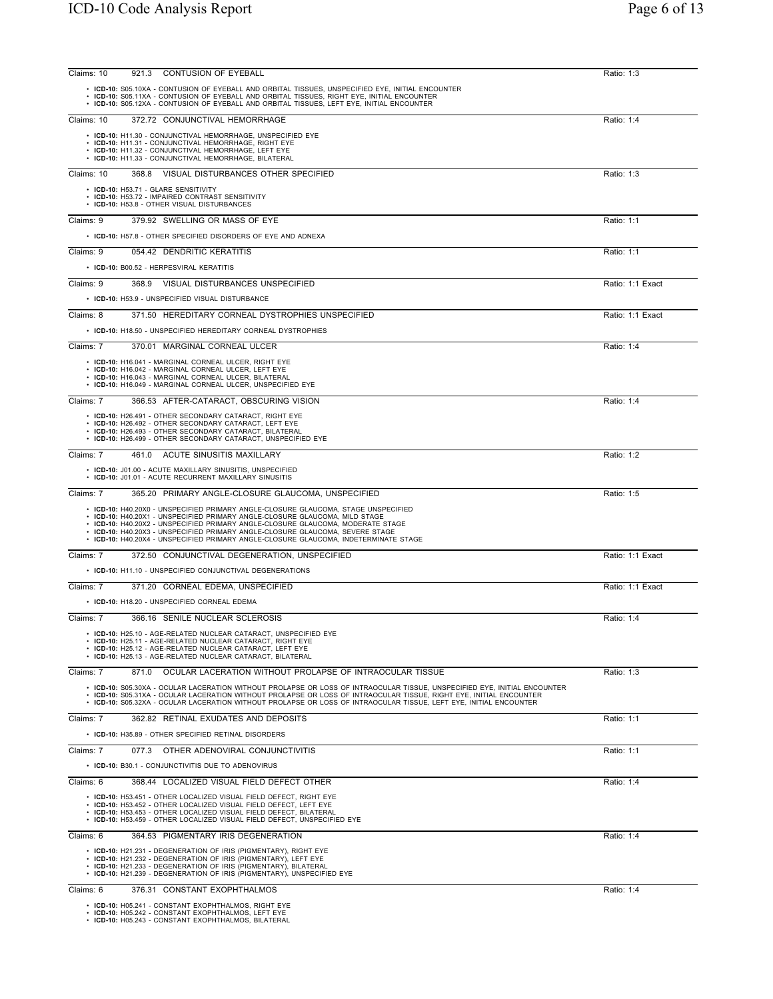| CONTUSION OF EYEBALL<br>Claims: 10<br>921.3                                                                                                                                                                                                                                                                                                                            | Ratio: 1:3       |
|------------------------------------------------------------------------------------------------------------------------------------------------------------------------------------------------------------------------------------------------------------------------------------------------------------------------------------------------------------------------|------------------|
| · ICD-10: S05.10XA - CONTUSION OF EYEBALL AND ORBITAL TISSUES, UNSPECIFIED EYE, INITIAL ENCOUNTER<br>• ICD-10: S05.11XA - CONTUSION OF EYEBALL AND ORBITAL TISSUES, RIGHT EYE, INITIAL ENCOUNTER<br>• ICD-10: S05.12XA - CONTUSION OF EYEBALL AND ORBITAL TISSUES, LEFT EYE, INITIAL ENCOUNTER                                                                         |                  |
| Claims: 10<br>372.72 CONJUNCTIVAL HEMORRHAGE                                                                                                                                                                                                                                                                                                                           | Ratio: 1:4       |
| • ICD-10: H11.30 - CONJUNCTIVAL HEMORRHAGE, UNSPECIFIED EYE                                                                                                                                                                                                                                                                                                            |                  |
| • ICD-10: H11.31 - CONJUNCTIVAL HEMORRHAGE, RIGHT EYE<br>• ICD-10: H11.32 - CONJUNCTIVAL HEMORRHAGE, LEFT EYE<br>· ICD-10: H11.33 - CONJUNCTIVAL HEMORRHAGE, BILATERAL                                                                                                                                                                                                 |                  |
| Claims: 10<br>VISUAL DISTURBANCES OTHER SPECIFIED<br>368.8                                                                                                                                                                                                                                                                                                             | Ratio: 1:3       |
| • ICD-10: H53.71 - GLARE SENSITIVITY                                                                                                                                                                                                                                                                                                                                   |                  |
| • ICD-10: H53.72 - IMPAIRED CONTRAST SENSITIVITY<br>• ICD-10: H53.8 - OTHER VISUAL DISTURBANCES                                                                                                                                                                                                                                                                        |                  |
| 379.92 SWELLING OR MASS OF EYE<br>Claims: 9                                                                                                                                                                                                                                                                                                                            | Ratio: 1:1       |
| • ICD-10: H57.8 - OTHER SPECIFIED DISORDERS OF EYE AND ADNEXA                                                                                                                                                                                                                                                                                                          |                  |
| Claims: 9<br>054.42 DENDRITIC KERATITIS                                                                                                                                                                                                                                                                                                                                | Ratio: 1:1       |
| · ICD-10: B00.52 - HERPESVIRAL KERATITIS                                                                                                                                                                                                                                                                                                                               |                  |
| 368.9 VISUAL DISTURBANCES UNSPECIFIED<br>Claims: 9                                                                                                                                                                                                                                                                                                                     | Ratio: 1:1 Exact |
| • ICD-10: H53.9 - UNSPECIFIED VISUAL DISTURBANCE                                                                                                                                                                                                                                                                                                                       |                  |
| Claims: 8<br>371.50 HEREDITARY CORNEAL DYSTROPHIES UNSPECIFIED                                                                                                                                                                                                                                                                                                         | Ratio: 1:1 Exact |
| • ICD-10: H18.50 - UNSPECIFIED HEREDITARY CORNEAL DYSTROPHIES                                                                                                                                                                                                                                                                                                          |                  |
| Claims: 7<br>370.01 MARGINAL CORNEAL ULCER                                                                                                                                                                                                                                                                                                                             | Ratio: 1:4       |
| • ICD-10: H16.041 - MARGINAL CORNEAL ULCER, RIGHT EYE<br>• ICD-10: H16.042 - MARGINAL CORNEAL ULCER, LEFT EYE                                                                                                                                                                                                                                                          |                  |
| • ICD-10: H16.043 - MARGINAL CORNEAL ULCER, BILATERAL<br>• ICD-10: H16.049 - MARGINAL CORNEAL ULCER, UNSPECIFIED EYE                                                                                                                                                                                                                                                   |                  |
| Claims: 7<br>366.53 AFTER-CATARACT, OBSCURING VISION                                                                                                                                                                                                                                                                                                                   | Ratio: 1:4       |
| • ICD-10: H26.491 - OTHER SECONDARY CATARACT, RIGHT EYE                                                                                                                                                                                                                                                                                                                |                  |
| • ICD-10: H26.492 - OTHER SECONDARY CATARACT, LEFT EYE<br>• ICD-10: H26.493 - OTHER SECONDARY CATARACT, BILATERAL                                                                                                                                                                                                                                                      |                  |
| • ICD-10: H26.499 - OTHER SECONDARY CATARACT, UNSPECIFIED EYE<br>Claims: 7<br>461.0 ACUTE SINUSITIS MAXILLARY                                                                                                                                                                                                                                                          |                  |
| • ICD-10: J01.00 - ACUTE MAXILLARY SINUSITIS, UNSPECIFIED                                                                                                                                                                                                                                                                                                              | Ratio: 1:2       |
| • ICD-10: J01.01 - ACUTE RECURRENT MAXILLARY SINUSITIS                                                                                                                                                                                                                                                                                                                 |                  |
| 365.20 PRIMARY ANGLE-CLOSURE GLAUCOMA, UNSPECIFIED<br>Claims: 7                                                                                                                                                                                                                                                                                                        | Ratio: 1:5       |
| • ICD-10: H40.20X0 - UNSPECIFIED PRIMARY ANGLE-CLOSURE GLAUCOMA, STAGE UNSPECIFIED<br>• ICD-10: H40.20X1 - UNSPECIFIED PRIMARY ANGLE-CLOSURE GLAUCOMA, MILD STAGE                                                                                                                                                                                                      |                  |
| • ICD-10: H40.20X2 - UNSPECIFIED PRIMARY ANGLE-CLOSURE GLAUCOMA, MODERATE STAGE<br>• ICD-10: H40.20X3 - UNSPECIFIED PRIMARY ANGLE-CLOSURE GLAUCOMA, SEVERE STAGE                                                                                                                                                                                                       |                  |
| • ICD-10: H40.20X4 - UNSPECIFIED PRIMARY ANGLE-CLOSURE GLAUCOMA, INDETERMINATE STAGE                                                                                                                                                                                                                                                                                   |                  |
| 372.50 CONJUNCTIVAL DEGENERATION, UNSPECIFIED<br>Claims: 7                                                                                                                                                                                                                                                                                                             | Ratio: 1:1 Exact |
| · ICD-10: H11.10 - UNSPECIFIED CONJUNCTIVAL DEGENERATIONS                                                                                                                                                                                                                                                                                                              |                  |
| Claims: 7<br>371.20 CORNEAL EDEMA, UNSPECIFIED                                                                                                                                                                                                                                                                                                                         | Ratio: 1:1 Exact |
| • ICD-10: H18.20 - UNSPECIFIED CORNEAL EDEMA                                                                                                                                                                                                                                                                                                                           |                  |
| 366.16 SENILE NUCLEAR SCLEROSIS<br>Claims: 7                                                                                                                                                                                                                                                                                                                           | Ratio: 1:4       |
| · ICD-10: H25.10 - AGE-RELATED NUCLEAR CATARACT, UNSPECIFIED EYE<br>· ICD-10: H25.11 - AGE-RELATED NUCLEAR CATARACT, RIGHT EYE                                                                                                                                                                                                                                         |                  |
| • ICD-10: H25.12 - AGE-RELATED NUCLEAR CATARACT, LEFT EYE<br>• ICD-10: H25.13 - AGE-RELATED NUCLEAR CATARACT, BILATERAL                                                                                                                                                                                                                                                |                  |
| Claims: 7<br>OCULAR LACERATION WITHOUT PROLAPSE OF INTRAOCULAR TISSUE<br>871.0                                                                                                                                                                                                                                                                                         | Ratio: 1:3       |
| · ICD-10: S05.30XA - OCULAR LACERATION WITHOUT PROLAPSE OR LOSS OF INTRAOCULAR TISSUE, UNSPECIFIED EYE, INITIAL ENCOUNTER<br>· ICD-10: S05.31XA - OCULAR LACERATION WITHOUT PROLAPSE OR LOSS OF INTRAOCULAR TISSUE, RIGHT EYE, INITIAL ENCOUNTER<br>. ICD-10: S05.32XA - OCULAR LACERATION WITHOUT PROLAPSE OR LOSS OF INTRAOCULAR TISSUE, LEFT EYE, INITIAL ENCOUNTER |                  |
| Claims: 7<br>362.82 RETINAL EXUDATES AND DEPOSITS                                                                                                                                                                                                                                                                                                                      | Ratio: 1:1       |
| • ICD-10: H35.89 - OTHER SPECIFIED RETINAL DISORDERS                                                                                                                                                                                                                                                                                                                   |                  |
| 077.3 OTHER ADENOVIRAL CONJUNCTIVITIS<br>Claims: 7                                                                                                                                                                                                                                                                                                                     | Ratio: 1:1       |
| • ICD-10: B30.1 - CONJUNCTIVITIS DUE TO ADENOVIRUS                                                                                                                                                                                                                                                                                                                     |                  |
| 368.44 LOCALIZED VISUAL FIELD DEFECT OTHER<br>Claims: 6                                                                                                                                                                                                                                                                                                                | Ratio: 1:4       |
| • ICD-10: H53.451 - OTHER LOCALIZED VISUAL FIELD DEFECT, RIGHT EYE<br>• ICD-10: H53.452 - OTHER LOCALIZED VISUAL FIELD DEFECT, LEFT EYE                                                                                                                                                                                                                                |                  |
| • ICD-10: H53.453 - OTHER LOCALIZED VISUAL FIELD DEFECT, BILATERAL<br>• ICD-10: H53.459 - OTHER LOCALIZED VISUAL FIELD DEFECT, UNSPECIFIED EYE                                                                                                                                                                                                                         |                  |
| Claims: 6<br>364.53 PIGMENTARY IRIS DEGENERATION                                                                                                                                                                                                                                                                                                                       | Ratio: 1:4       |
| • ICD-10: H21.231 - DEGENERATION OF IRIS (PIGMENTARY), RIGHT EYE                                                                                                                                                                                                                                                                                                       |                  |
| • ICD-10: H21.232 - DEGENERATION OF IRIS (PIGMENTARY), LEFT EYE<br>• ICD-10: H21.233 - DEGENERATION OF IRIS (PIGMENTARY), BILATERAL                                                                                                                                                                                                                                    |                  |
| • ICD-10: H21.239 - DEGENERATION OF IRIS (PIGMENTARY), UNSPECIFIED EYE                                                                                                                                                                                                                                                                                                 |                  |
| 376.31 CONSTANT EXOPHTHALMOS<br>Claims: 6                                                                                                                                                                                                                                                                                                                              | Ratio: 1:4       |
| • ICD-10: H05.241 - CONSTANT EXOPHTHALMOS, RIGHT EYE<br>• ICD-10: H05.242 - CONSTANT EXOPHTHALMOS, LEFT EYE                                                                                                                                                                                                                                                            |                  |

• **ICD-10:** H05.242 - CONSTANT EXOPHTHALMOS, LEFT EYE • **ICD-10:** H05.243 - CONSTANT EXOPHTHALMOS, BILATERAL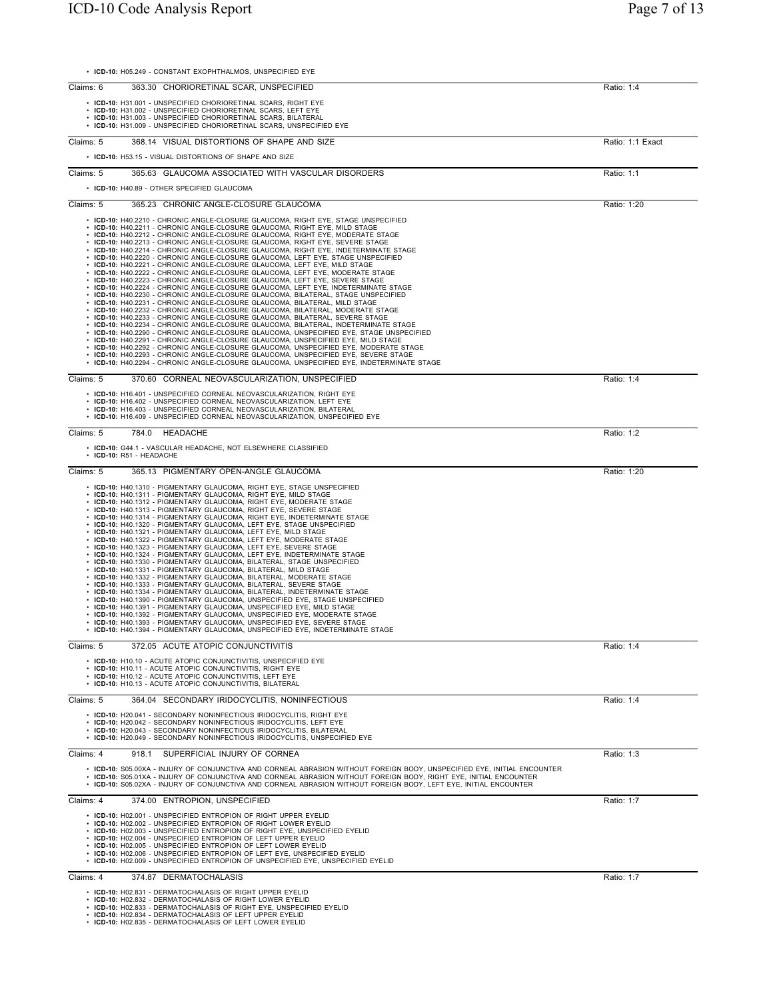|           | • ICD-10: H05.249 - CONSTANT EXOPHTHALMOS, UNSPECIFIED EYE                                                                                                                                                                                                                                                                                                                                                                                                                                                                                                                                                                                                                                                                                                                                                                                                                                                                                                                                                                                                                                                                                                                                                                                                                                                                                                                                                                                                                                                                                                                                                                                                                                                                            |                  |
|-----------|---------------------------------------------------------------------------------------------------------------------------------------------------------------------------------------------------------------------------------------------------------------------------------------------------------------------------------------------------------------------------------------------------------------------------------------------------------------------------------------------------------------------------------------------------------------------------------------------------------------------------------------------------------------------------------------------------------------------------------------------------------------------------------------------------------------------------------------------------------------------------------------------------------------------------------------------------------------------------------------------------------------------------------------------------------------------------------------------------------------------------------------------------------------------------------------------------------------------------------------------------------------------------------------------------------------------------------------------------------------------------------------------------------------------------------------------------------------------------------------------------------------------------------------------------------------------------------------------------------------------------------------------------------------------------------------------------------------------------------------|------------------|
| Claims: 6 | 363.30 CHORIORETINAL SCAR, UNSPECIFIED                                                                                                                                                                                                                                                                                                                                                                                                                                                                                                                                                                                                                                                                                                                                                                                                                                                                                                                                                                                                                                                                                                                                                                                                                                                                                                                                                                                                                                                                                                                                                                                                                                                                                                | Ratio: 1:4       |
|           | • ICD-10: H31.001 - UNSPECIFIED CHORIORETINAL SCARS, RIGHT EYE<br>• ICD-10: H31.002 - UNSPECIFIED CHORIORETINAL SCARS, LEFT EYE<br>• ICD-10: H31.003 - UNSPECIFIED CHORIORETINAL SCARS, BILATERAL<br>• ICD-10: H31.009 - UNSPECIFIED CHORIORETINAL SCARS, UNSPECIFIED EYE                                                                                                                                                                                                                                                                                                                                                                                                                                                                                                                                                                                                                                                                                                                                                                                                                                                                                                                                                                                                                                                                                                                                                                                                                                                                                                                                                                                                                                                             |                  |
| Claims: 5 | 368.14 VISUAL DISTORTIONS OF SHAPE AND SIZE                                                                                                                                                                                                                                                                                                                                                                                                                                                                                                                                                                                                                                                                                                                                                                                                                                                                                                                                                                                                                                                                                                                                                                                                                                                                                                                                                                                                                                                                                                                                                                                                                                                                                           | Ratio: 1:1 Exact |
|           | • ICD-10: H53.15 - VISUAL DISTORTIONS OF SHAPE AND SIZE                                                                                                                                                                                                                                                                                                                                                                                                                                                                                                                                                                                                                                                                                                                                                                                                                                                                                                                                                                                                                                                                                                                                                                                                                                                                                                                                                                                                                                                                                                                                                                                                                                                                               |                  |
| Claims: 5 | 365.63 GLAUCOMA ASSOCIATED WITH VASCULAR DISORDERS                                                                                                                                                                                                                                                                                                                                                                                                                                                                                                                                                                                                                                                                                                                                                                                                                                                                                                                                                                                                                                                                                                                                                                                                                                                                                                                                                                                                                                                                                                                                                                                                                                                                                    | Ratio: 1:1       |
|           | • ICD-10: H40.89 - OTHER SPECIFIED GLAUCOMA                                                                                                                                                                                                                                                                                                                                                                                                                                                                                                                                                                                                                                                                                                                                                                                                                                                                                                                                                                                                                                                                                                                                                                                                                                                                                                                                                                                                                                                                                                                                                                                                                                                                                           |                  |
| Claims: 5 | 365.23 CHRONIC ANGLE-CLOSURE GLAUCOMA                                                                                                                                                                                                                                                                                                                                                                                                                                                                                                                                                                                                                                                                                                                                                                                                                                                                                                                                                                                                                                                                                                                                                                                                                                                                                                                                                                                                                                                                                                                                                                                                                                                                                                 | Ratio: 1:20      |
|           | • ICD-10: H40.2210 - CHRONIC ANGLE-CLOSURE GLAUCOMA, RIGHT EYE, STAGE UNSPECIFIED<br>• ICD-10: H40.2211 - CHRONIC ANGLE-CLOSURE GLAUCOMA, RIGHT EYE, MILD STAGE<br>• ICD-10: H40.2212 - CHRONIC ANGLE-CLOSURE GLAUCOMA, RIGHT EYE, MODERATE STAGE<br>• ICD-10: H40.2213 - CHRONIC ANGLE-CLOSURE GLAUCOMA, RIGHT EYE, SEVERE STAGE<br>• ICD-10: H40.2214 - CHRONIC ANGLE-CLOSURE GLAUCOMA, RIGHT EYE, INDETERMINATE STAGE<br>• ICD-10: H40.2220 - CHRONIC ANGLE-CLOSURE GLAUCOMA, LEFT EYE, STAGE UNSPECIFIED<br>• ICD-10: H40.2221 - CHRONIC ANGLE-CLOSURE GLAUCOMA, LEFT EYE, MILD STAGE<br>• ICD-10: H40.2222 - CHRONIC ANGLE-CLOSURE GLAUCOMA, LEFT EYE, MODERATE STAGE<br>• ICD-10: H40.2223 - CHRONIC ANGLE-CLOSURE GLAUCOMA, LEFT EYE, SEVERE STAGE<br>• ICD-10: H40.2224 - CHRONIC ANGLE-CLOSURE GLAUCOMA, LEFT EYE, INDETERMINATE STAGE<br>• ICD-10: H40.2230 - CHRONIC ANGLE-CLOSURE GLAUCOMA, BILATERAL, STAGE UNSPECIFIED<br>• ICD-10: H40.2231 - CHRONIC ANGLE-CLOSURE GLAUCOMA, BILATERAL, MILD STAGE<br>• ICD-10: H40.2232 - CHRONIC ANGLE-CLOSURE GLAUCOMA, BILATERAL, MODERATE STAGE<br>• ICD-10: H40.2233 - CHRONIC ANGLE-CLOSURE GLAUCOMA, BILATERAL, SEVERE STAGE<br>• ICD-10: H40.2234 - CHRONIC ANGLE-CLOSURE GLAUCOMA, BILATERAL, INDETERMINATE STAGE<br>· ICD-10: H40.2290 - CHRONIC ANGLE-CLOSURE GLAUCOMA, UNSPECIFIED EYE, STAGE UNSPECIFIED<br>• ICD-10: H40.2291 - CHRONIC ANGLE-CLOSURE GLAUCOMA, UNSPECIFIED EYE, MILD STAGE<br>• ICD-10: H40.2292 - CHRONIC ANGLE-CLOSURE GLAUCOMA, UNSPECIFIED EYE, MODERATE STAGE<br>• ICD-10: H40.2293 - CHRONIC ANGLE-CLOSURE GLAUCOMA, UNSPECIFIED EYE, SEVERE STAGE<br>· ICD-10: H40.2294 - CHRONIC ANGLE-CLOSURE GLAUCOMA, UNSPECIFIED EYE, INDETERMINATE STAGE |                  |
| Claims: 5 | 370.60 CORNEAL NEOVASCULARIZATION, UNSPECIFIED                                                                                                                                                                                                                                                                                                                                                                                                                                                                                                                                                                                                                                                                                                                                                                                                                                                                                                                                                                                                                                                                                                                                                                                                                                                                                                                                                                                                                                                                                                                                                                                                                                                                                        | Ratio: 1:4       |
|           | • ICD-10: H16.401 - UNSPECIFIED CORNEAL NEOVASCULARIZATION, RIGHT EYE<br>• ICD-10: H16.402 - UNSPECIFIED CORNEAL NEOVASCULARIZATION, LEFT EYE<br>• ICD-10: H16.403 - UNSPECIFIED CORNEAL NEOVASCULARIZATION, BILATERAL<br>• ICD-10: H16.409 - UNSPECIFIED CORNEAL NEOVASCULARIZATION, UNSPECIFIED EYE                                                                                                                                                                                                                                                                                                                                                                                                                                                                                                                                                                                                                                                                                                                                                                                                                                                                                                                                                                                                                                                                                                                                                                                                                                                                                                                                                                                                                                 |                  |
| Claims: 5 | 784.0 HEADACHE                                                                                                                                                                                                                                                                                                                                                                                                                                                                                                                                                                                                                                                                                                                                                                                                                                                                                                                                                                                                                                                                                                                                                                                                                                                                                                                                                                                                                                                                                                                                                                                                                                                                                                                        | Ratio: 1:2       |
|           | • ICD-10: G44.1 - VASCULAR HEADACHE, NOT ELSEWHERE CLASSIFIED<br>$\cdot$ ICD-10: R51 - HEADACHE                                                                                                                                                                                                                                                                                                                                                                                                                                                                                                                                                                                                                                                                                                                                                                                                                                                                                                                                                                                                                                                                                                                                                                                                                                                                                                                                                                                                                                                                                                                                                                                                                                       |                  |
| Claims: 5 | 365.13 PIGMENTARY OPEN-ANGLE GLAUCOMA                                                                                                                                                                                                                                                                                                                                                                                                                                                                                                                                                                                                                                                                                                                                                                                                                                                                                                                                                                                                                                                                                                                                                                                                                                                                                                                                                                                                                                                                                                                                                                                                                                                                                                 | Ratio: 1:20      |
|           | • ICD-10: H40.1310 - PIGMENTARY GLAUCOMA, RIGHT EYE, STAGE UNSPECIFIED<br>• ICD-10: H40.1311 - PIGMENTARY GLAUCOMA, RIGHT EYE, MILD STAGE<br>• ICD-10: H40.1312 - PIGMENTARY GLAUCOMA, RIGHT EYE, MODERATE STAGE<br>• ICD-10: H40.1313 - PIGMENTARY GLAUCOMA, RIGHT EYE, SEVERE STAGE<br>• ICD-10: H40.1314 - PIGMENTARY GLAUCOMA, RIGHT EYE, INDETERMINATE STAGE<br>• ICD-10: H40.1320 - PIGMENTARY GLAUCOMA, LEFT EYE, STAGE UNSPECIFIED<br>• ICD-10: H40.1321 - PIGMENTARY GLAUCOMA, LEFT EYE, MILD STAGE<br>• ICD-10: H40.1322 - PIGMENTARY GLAUCOMA, LEFT EYE, MODERATE STAGE<br>• ICD-10: H40.1323 - PIGMENTARY GLAUCOMA, LEFT EYE, SEVERE STAGE<br>• ICD-10: H40.1324 - PIGMENTARY GLAUCOMA, LEFT EYE, INDETERMINATE STAGE<br>• ICD-10: H40.1330 - PIGMENTARY GLAUCOMA, BILATERAL, STAGE UNSPECIFIED<br>• ICD-10: H40.1331 - PIGMENTARY GLAUCOMA, BILATERAL, MILD STAGE<br>• ICD-10: H40.1332 - PIGMENTARY GLAUCOMA, BILATERAL, MODERATE STAGE<br>• ICD-10: H40.1333 - PIGMENTARY GLAUCOMA, BILATERAL, SEVERE STAGE<br>• ICD-10: H40.1334 - PIGMENTARY GLAUCOMA, BILATERAL, INDETERMINATE STAGE<br>• ICD-10: H40.1390 - PIGMENTARY GLAUCOMA, UNSPECIFIED EYE, STAGE UNSPECIFIED<br>• ICD-10: H40.1391 - PIGMENTARY GLAUCOMA, UNSPECIFIED EYE, MILD STAGE<br>• ICD-10: H40.1392 - PIGMENTARY GLAUCOMA, UNSPECIFIED EYE, MODERATE STAGE<br>• ICD-10: H40.1393 - PIGMENTARY GLAUCOMA, UNSPECIFIED EYE, SEVERE STAGE<br>• ICD-10: H40.1394 - PIGMENTARY GLAUCOMA, UNSPECIFIED EYE, INDETERMINATE STAGE                                                                                                                                                                                                                             |                  |
| Claims: 5 | 372.05 ACUTE ATOPIC CONJUNCTIVITIS                                                                                                                                                                                                                                                                                                                                                                                                                                                                                                                                                                                                                                                                                                                                                                                                                                                                                                                                                                                                                                                                                                                                                                                                                                                                                                                                                                                                                                                                                                                                                                                                                                                                                                    | Ratio: 1:4       |
|           | • ICD-10: H10.10 - ACUTE ATOPIC CONJUNCTIVITIS, UNSPECIFIED EYE<br>• ICD-10: H10.11 - ACUTE ATOPIC CONJUNCTIVITIS, RIGHT EYE<br>• ICD-10: H10.12 - ACUTE ATOPIC CONJUNCTIVITIS, LEFT EYE<br>• ICD-10: H10.13 - ACUTE ATOPIC CONJUNCTIVITIS. BILATERAL                                                                                                                                                                                                                                                                                                                                                                                                                                                                                                                                                                                                                                                                                                                                                                                                                                                                                                                                                                                                                                                                                                                                                                                                                                                                                                                                                                                                                                                                                 |                  |
| Claims: 5 | 364.04 SECONDARY IRIDOCYCLITIS, NONINFECTIOUS                                                                                                                                                                                                                                                                                                                                                                                                                                                                                                                                                                                                                                                                                                                                                                                                                                                                                                                                                                                                                                                                                                                                                                                                                                                                                                                                                                                                                                                                                                                                                                                                                                                                                         | Ratio: 1:4       |
|           | • ICD-10: H20.041 - SECONDARY NONINFECTIOUS IRIDOCYCLITIS, RIGHT EYE<br>• ICD-10: H20.042 - SECONDARY NONINFECTIOUS IRIDOCYCLITIS, LEFT EYE<br>• ICD-10: H20.043 - SECONDARY NONINFECTIOUS IRIDOCYCLITIS, BILATERAL<br>• ICD-10: H20.049 - SECONDARY NONINFECTIOUS IRIDOCYCLITIS, UNSPECIFIED EYE                                                                                                                                                                                                                                                                                                                                                                                                                                                                                                                                                                                                                                                                                                                                                                                                                                                                                                                                                                                                                                                                                                                                                                                                                                                                                                                                                                                                                                     |                  |
| Claims: 4 | SUPERFICIAL INJURY OF CORNEA<br>918.1                                                                                                                                                                                                                                                                                                                                                                                                                                                                                                                                                                                                                                                                                                                                                                                                                                                                                                                                                                                                                                                                                                                                                                                                                                                                                                                                                                                                                                                                                                                                                                                                                                                                                                 | Ratio: 1:3       |
|           | . ICD-10: S05.00XA - INJURY OF CONJUNCTIVA AND CORNEAL ABRASION WITHOUT FOREIGN BODY, UNSPECIFIED EYE, INITIAL ENCOUNTER<br>. ICD-10: S05.01XA - INJURY OF CONJUNCTIVA AND CORNEAL ABRASION WITHOUT FOREIGN BODY, RIGHT EYE, INITIAL ENCOUNTER<br>. ICD-10: S05.02XA - INJURY OF CONJUNCTIVA AND CORNEAL ABRASION WITHOUT FOREIGN BODY, LEFT EYE, INITIAL ENCOUNTER                                                                                                                                                                                                                                                                                                                                                                                                                                                                                                                                                                                                                                                                                                                                                                                                                                                                                                                                                                                                                                                                                                                                                                                                                                                                                                                                                                   |                  |
| Claims: 4 | 374.00 ENTROPION, UNSPECIFIED                                                                                                                                                                                                                                                                                                                                                                                                                                                                                                                                                                                                                                                                                                                                                                                                                                                                                                                                                                                                                                                                                                                                                                                                                                                                                                                                                                                                                                                                                                                                                                                                                                                                                                         | Ratio: 1:7       |
|           | • ICD-10: H02.001 - UNSPECIFIED ENTROPION OF RIGHT UPPER EYELID<br>• ICD-10: H02.002 - UNSPECIFIED ENTROPION OF RIGHT LOWER EYELID<br>• ICD-10: H02.003 - UNSPECIFIED ENTROPION OF RIGHT EYE, UNSPECIFIED EYELID<br>• ICD-10: H02.004 - UNSPECIFIED ENTROPION OF LEFT UPPER EYELID<br>• ICD-10: H02.005 - UNSPECIFIED ENTROPION OF LEFT LOWER EYELID<br>• ICD-10: H02.006 - UNSPECIFIED ENTROPION OF LEFT EYE, UNSPECIFIED EYELID<br>• ICD-10: H02.009 - UNSPECIFIED ENTROPION OF UNSPECIFIED EYE, UNSPECIFIED EYELID                                                                                                                                                                                                                                                                                                                                                                                                                                                                                                                                                                                                                                                                                                                                                                                                                                                                                                                                                                                                                                                                                                                                                                                                                 |                  |
| Claims: 4 | 374.87 DERMATOCHALASIS                                                                                                                                                                                                                                                                                                                                                                                                                                                                                                                                                                                                                                                                                                                                                                                                                                                                                                                                                                                                                                                                                                                                                                                                                                                                                                                                                                                                                                                                                                                                                                                                                                                                                                                | Ratio: 1:7       |
|           | • ICD-10: H02.831 - DERMATOCHALASIS OF RIGHT UPPER EYELID<br>• ICD-10: H02.832 - DERMATOCHALASIS OF RIGHT LOWER EYELID<br>• ICD-10: H02.833 - DERMATOCHALASIS OF RIGHT EYE, UNSPECIFIED EYELID<br>ICD-10: H02 834 - DERMATOCHALASIS OF LEET HIDDER EVELID                                                                                                                                                                                                                                                                                                                                                                                                                                                                                                                                                                                                                                                                                                                                                                                                                                                                                                                                                                                                                                                                                                                                                                                                                                                                                                                                                                                                                                                                             |                  |

• **ICD-10:** H02.834 - DERMATOCHALASIS OF LEFT UPPER EYELID • **ICD-10:** H02.835 - DERMATOCHALASIS OF LEFT LOWER EYELID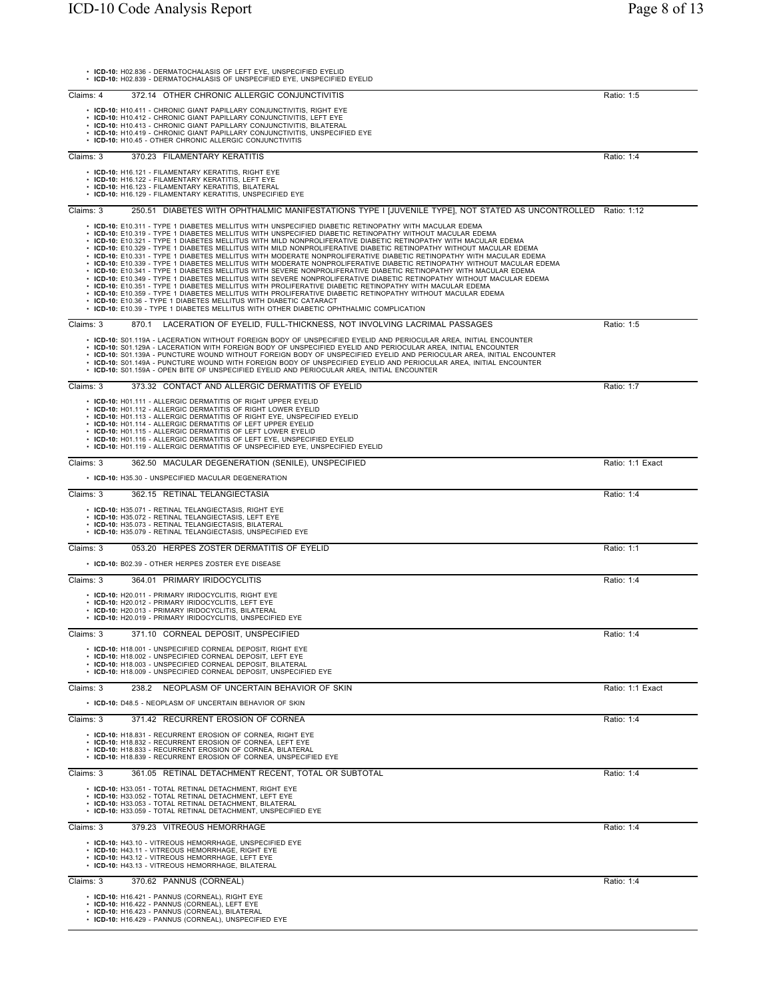|           | ICD-10: H02.836 - DERMATOCHALASIS OF LEFT EYE, UNSPECIFIED EYELID<br>• ICD-10: H02.839 - DERMATOCHALASIS OF UNSPECIFIED EYE, UNSPECIFIED EYELID                                                                                                                                                                                                                                                                                                                                                                                                                                                                                                                                                                                                                                                                                                                                                                                                                                                                                                                                                                                                                                                                                                                                                                                                    |                  |
|-----------|----------------------------------------------------------------------------------------------------------------------------------------------------------------------------------------------------------------------------------------------------------------------------------------------------------------------------------------------------------------------------------------------------------------------------------------------------------------------------------------------------------------------------------------------------------------------------------------------------------------------------------------------------------------------------------------------------------------------------------------------------------------------------------------------------------------------------------------------------------------------------------------------------------------------------------------------------------------------------------------------------------------------------------------------------------------------------------------------------------------------------------------------------------------------------------------------------------------------------------------------------------------------------------------------------------------------------------------------------|------------------|
| Claims: 4 | 372.14 OTHER CHRONIC ALLERGIC CONJUNCTIVITIS                                                                                                                                                                                                                                                                                                                                                                                                                                                                                                                                                                                                                                                                                                                                                                                                                                                                                                                                                                                                                                                                                                                                                                                                                                                                                                       | Ratio: 1:5       |
|           | • ICD-10: H10.411 - CHRONIC GIANT PAPILLARY CONJUNCTIVITIS, RIGHT EYE<br>• ICD-10: H10.412 - CHRONIC GIANT PAPILLARY CONJUNCTIVITIS, LEFT EYE<br>• ICD-10: H10.413 - CHRONIC GIANT PAPILLARY CONJUNCTIVITIS, BILATERAL<br>• ICD-10: H10.419 - CHRONIC GIANT PAPILLARY CONJUNCTIVITIS, UNSPECIFIED EYE<br>• ICD-10: H10.45 - OTHER CHRONIC ALLERGIC CONJUNCTIVITIS                                                                                                                                                                                                                                                                                                                                                                                                                                                                                                                                                                                                                                                                                                                                                                                                                                                                                                                                                                                  |                  |
| Claims: 3 | 370.23 FILAMENTARY KERATITIS                                                                                                                                                                                                                                                                                                                                                                                                                                                                                                                                                                                                                                                                                                                                                                                                                                                                                                                                                                                                                                                                                                                                                                                                                                                                                                                       | Ratio: 1:4       |
|           | • ICD-10: H16.121 - FILAMENTARY KERATITIS, RIGHT EYE<br>• ICD-10: H16.122 - FILAMENTARY KERATITIS, LEFT EYE<br>• ICD-10: H16.123 - FILAMENTARY KERATITIS, BILATERAL<br>ICD-10: H16.129 - FILAMENTARY KERATITIS, UNSPECIFIED EYE                                                                                                                                                                                                                                                                                                                                                                                                                                                                                                                                                                                                                                                                                                                                                                                                                                                                                                                                                                                                                                                                                                                    |                  |
| Claims: 3 | 250.51 DIABETES WITH OPHTHALMIC MANIFESTATIONS TYPE I [JUVENILE TYPE], NOT STATED AS UNCONTROLLED Ratio: 1:12                                                                                                                                                                                                                                                                                                                                                                                                                                                                                                                                                                                                                                                                                                                                                                                                                                                                                                                                                                                                                                                                                                                                                                                                                                      |                  |
|           | • ICD-10: E10.311 - TYPE 1 DIABETES MELLITUS WITH UNSPECIFIED DIABETIC RETINOPATHY WITH MACULAR EDEMA<br>. ICD-10: E10.319 - TYPE 1 DIABETES MELLITUS WITH UNSPECIFIED DIABETIC RETINOPATHY WITHOUT MACULAR EDEMA<br>· ICD-10: E10.321 - TYPE 1 DIABETES MELLITUS WITH MILD NONPROLIFERATIVE DIABETIC RETINOPATHY WITH MACULAR EDEMA<br>· ICD-10: E10.329 - TYPE 1 DIABETES MELLITUS WITH MILD NONPROLIFERATIVE DIABETIC RETINOPATHY WITHOUT MACULAR EDEMA<br>· ICD-10: E10.331 - TYPE 1 DIABETES MELLITUS WITH MODERATE NONPROLIFERATIVE DIABETIC RETINOPATHY WITH MACULAR EDEMA<br>· ICD-10: E10.339 - TYPE 1 DIABETES MELLITUS WITH MODERATE NONPROLIFERATIVE DIABETIC RETINOPATHY WITHOUT MACULAR EDEMA<br>• ICD-10: E10.341 - TYPE 1 DIABETES MELLITUS WITH SEVERE NONPROLIFERATIVE DIABETIC RETINOPATHY WITH MACULAR EDEMA<br>• ICD-10: E10.349 - TYPE 1 DIABETES MELLITUS WITH SEVERE NONPROLIFERATIVE DIABETIC RETINOPATHY WITHOUT MACULAR EDEMA<br>. ICD-10: E10.351 - TYPE 1 DIABETES MELLITUS WITH PROLIFERATIVE DIABETIC RETINOPATHY WITH MACULAR EDEMA<br>· ICD-10: E10.359 - TYPE 1 DIABETES MELLITUS WITH PROLIFERATIVE DIABETIC RETINOPATHY WITHOUT MACULAR EDEMA<br>• ICD-10: E10.36 - TYPE 1 DIABETES MELLITUS WITH DIABETIC CATARACT<br>• ICD-10: E10.39 - TYPE 1 DIABETES MELLITUS WITH OTHER DIABETIC OPHTHALMIC COMPLICATION |                  |
| Claims: 3 | 870.1 LACERATION OF EYELID, FULL-THICKNESS, NOT INVOLVING LACRIMAL PASSAGES                                                                                                                                                                                                                                                                                                                                                                                                                                                                                                                                                                                                                                                                                                                                                                                                                                                                                                                                                                                                                                                                                                                                                                                                                                                                        | Ratio: 1:5       |
|           | · ICD-10: S01.119A - LACERATION WITHOUT FOREIGN BODY OF UNSPECIFIED EYELID AND PERIOCULAR AREA, INITIAL ENCOUNTER<br>· ICD-10: S01.129A - LACERATION WITH FOREIGN BODY OF UNSPECIFIED EYELID AND PERIOCULAR AREA, INITIAL ENCOUNTER<br>· ICD-10: S01.139A - PUNCTURE WOUND WITHOUT FOREIGN BODY OF UNSPECIFIED EYELID AND PERIOCULAR AREA, INITIAL ENCOUNTER<br>· ICD-10: S01.149A - PUNCTURE WOUND WITH FOREIGN BODY OF UNSPECIFIED EYELID AND PERIOCULAR AREA, INITIAL ENCOUNTER<br>· ICD-10: S01.159A - OPEN BITE OF UNSPECIFIED EYELID AND PERIOCULAR AREA, INITIAL ENCOUNTER                                                                                                                                                                                                                                                                                                                                                                                                                                                                                                                                                                                                                                                                                                                                                                  |                  |
| Claims: 3 | 373.32 CONTACT AND ALLERGIC DERMATITIS OF EYELID                                                                                                                                                                                                                                                                                                                                                                                                                                                                                                                                                                                                                                                                                                                                                                                                                                                                                                                                                                                                                                                                                                                                                                                                                                                                                                   | Ratio: 1:7       |
|           | • ICD-10: H01.111 - ALLERGIC DERMATITIS OF RIGHT UPPER EYELID<br>• ICD-10: H01.112 - ALLERGIC DERMATITIS OF RIGHT LOWER EYELID<br>• ICD-10: H01.113 - ALLERGIC DERMATITIS OF RIGHT EYE, UNSPECIFIED EYELID<br>ICD-10: H01.114 - ALLERGIC DERMATITIS OF LEFT UPPER EYELID<br>• ICD-10: H01.115 - ALLERGIC DERMATITIS OF LEFT LOWER EYELID<br>• ICD-10: H01.116 - ALLERGIC DERMATITIS OF LEFT EYE, UNSPECIFIED EYELID<br>• ICD-10: H01.119 - ALLERGIC DERMATITIS OF UNSPECIFIED EYE, UNSPECIFIED EYELID                                                                                                                                                                                                                                                                                                                                                                                                                                                                                                                                                                                                                                                                                                                                                                                                                                              |                  |
| Claims: 3 | 362.50 MACULAR DEGENERATION (SENILE), UNSPECIFIED                                                                                                                                                                                                                                                                                                                                                                                                                                                                                                                                                                                                                                                                                                                                                                                                                                                                                                                                                                                                                                                                                                                                                                                                                                                                                                  | Ratio: 1:1 Exact |
|           | • ICD-10: H35.30 - UNSPECIFIED MACULAR DEGENERATION                                                                                                                                                                                                                                                                                                                                                                                                                                                                                                                                                                                                                                                                                                                                                                                                                                                                                                                                                                                                                                                                                                                                                                                                                                                                                                |                  |
| Claims: 3 | 362.15 RETINAL TELANGIECTASIA                                                                                                                                                                                                                                                                                                                                                                                                                                                                                                                                                                                                                                                                                                                                                                                                                                                                                                                                                                                                                                                                                                                                                                                                                                                                                                                      | Ratio: 1:4       |
|           | • ICD-10: H35.071 - RETINAL TELANGIECTASIS, RIGHT EYE<br>• ICD-10: H35.072 - RETINAL TELANGIECTASIS, LEFT EYE<br>• ICD-10: H35.073 - RETINAL TELANGIECTASIS, BILATERAL<br>• ICD-10: H35.079 - RETINAL TELANGIECTASIS, UNSPECIFIED EYE                                                                                                                                                                                                                                                                                                                                                                                                                                                                                                                                                                                                                                                                                                                                                                                                                                                                                                                                                                                                                                                                                                              |                  |
| Claims: 3 | 053.20 HERPES ZOSTER DERMATITIS OF EYELID                                                                                                                                                                                                                                                                                                                                                                                                                                                                                                                                                                                                                                                                                                                                                                                                                                                                                                                                                                                                                                                                                                                                                                                                                                                                                                          | Ratio: 1:1       |
|           | • ICD-10: B02.39 - OTHER HERPES ZOSTER EYE DISEASE                                                                                                                                                                                                                                                                                                                                                                                                                                                                                                                                                                                                                                                                                                                                                                                                                                                                                                                                                                                                                                                                                                                                                                                                                                                                                                 |                  |
| Claims: 3 | 364.01 PRIMARY IRIDOCYCLITIS<br>• ICD-10: H20.011 - PRIMARY IRIDOCYCLITIS, RIGHT EYE<br>• ICD-10: H20.012 - PRIMARY IRIDOCYCLITIS, LEFT EYE<br>ICD-10: H20.013 - PRIMARY IRIDOCYCLITIS, BILATERAL<br>• ICD-10: H20.019 - PRIMARY IRIDOCYCLITIS, UNSPECIFIED EYE                                                                                                                                                                                                                                                                                                                                                                                                                                                                                                                                                                                                                                                                                                                                                                                                                                                                                                                                                                                                                                                                                    | Ratio: 1:4       |
| Claims: 3 | 371.10 CORNEAL DEPOSIT, UNSPECIFIED                                                                                                                                                                                                                                                                                                                                                                                                                                                                                                                                                                                                                                                                                                                                                                                                                                                                                                                                                                                                                                                                                                                                                                                                                                                                                                                | Ratio: 1:4       |
|           | • ICD-10: H18.001 - UNSPECIFIED CORNEAL DEPOSIT, RIGHT EYE<br>• ICD-10: H18.002 - UNSPECIFIED CORNEAL DEPOSIT. LEFT EYE<br>• ICD-10: H18.003 - UNSPECIFIED CORNEAL DEPOSIT, BILATERAL<br>ICD-10: H18.009 - UNSPECIFIED CORNEAL DEPOSIT, UNSPECIFIED EYE                                                                                                                                                                                                                                                                                                                                                                                                                                                                                                                                                                                                                                                                                                                                                                                                                                                                                                                                                                                                                                                                                            |                  |
| Claims: 3 | 238.2 NEOPLASM OF UNCERTAIN BEHAVIOR OF SKIN                                                                                                                                                                                                                                                                                                                                                                                                                                                                                                                                                                                                                                                                                                                                                                                                                                                                                                                                                                                                                                                                                                                                                                                                                                                                                                       | Ratio: 1:1 Exact |
|           | • ICD-10: D48.5 - NEOPLASM OF UNCERTAIN BEHAVIOR OF SKIN                                                                                                                                                                                                                                                                                                                                                                                                                                                                                                                                                                                                                                                                                                                                                                                                                                                                                                                                                                                                                                                                                                                                                                                                                                                                                           |                  |
| Claims: 3 | 371.42 RECURRENT EROSION OF CORNEA                                                                                                                                                                                                                                                                                                                                                                                                                                                                                                                                                                                                                                                                                                                                                                                                                                                                                                                                                                                                                                                                                                                                                                                                                                                                                                                 | Ratio: 1:4       |
|           | • ICD-10: H18.831 - RECURRENT EROSION OF CORNEA, RIGHT EYE<br>• ICD-10: H18.832 - RECURRENT EROSION OF CORNEA, LEFT EYE<br>• ICD-10: H18.833 - RECURRENT EROSION OF CORNEA, BILATERAL<br>• ICD-10: H18.839 - RECURRENT EROSION OF CORNEA, UNSPECIFIED EYE                                                                                                                                                                                                                                                                                                                                                                                                                                                                                                                                                                                                                                                                                                                                                                                                                                                                                                                                                                                                                                                                                          |                  |
| Claims: 3 | 361.05 RETINAL DETACHMENT RECENT, TOTAL OR SUBTOTAL                                                                                                                                                                                                                                                                                                                                                                                                                                                                                                                                                                                                                                                                                                                                                                                                                                                                                                                                                                                                                                                                                                                                                                                                                                                                                                | Ratio: 1:4       |
|           | • ICD-10: H33.051 - TOTAL RETINAL DETACHMENT, RIGHT EYE<br>• ICD-10: H33.052 - TOTAL RETINAL DETACHMENT, LEFT EYE<br>• ICD-10: H33.053 - TOTAL RETINAL DETACHMENT, BILATERAL<br>• ICD-10: H33.059 - TOTAL RETINAL DETACHMENT, UNSPECIFIED EYE                                                                                                                                                                                                                                                                                                                                                                                                                                                                                                                                                                                                                                                                                                                                                                                                                                                                                                                                                                                                                                                                                                      |                  |
| Claims: 3 | 379.23 VITREOUS HEMORRHAGE                                                                                                                                                                                                                                                                                                                                                                                                                                                                                                                                                                                                                                                                                                                                                                                                                                                                                                                                                                                                                                                                                                                                                                                                                                                                                                                         | Ratio: 1:4       |
|           | • ICD-10: H43.10 - VITREOUS HEMORRHAGE, UNSPECIFIED EYE<br>• ICD-10: H43.11 - VITREOUS HEMORRHAGE, RIGHT EYE<br>• ICD-10: H43.12 - VITREOUS HEMORRHAGE, LEFT EYE<br>• ICD-10: H43.13 - VITREOUS HEMORRHAGE, BILATERAL                                                                                                                                                                                                                                                                                                                                                                                                                                                                                                                                                                                                                                                                                                                                                                                                                                                                                                                                                                                                                                                                                                                              |                  |
| Claims: 3 | 370.62 PANNUS (CORNEAL)                                                                                                                                                                                                                                                                                                                                                                                                                                                                                                                                                                                                                                                                                                                                                                                                                                                                                                                                                                                                                                                                                                                                                                                                                                                                                                                            | Ratio: 1:4       |
|           | • ICD-10: H16.421 - PANNUS (CORNEAL), RIGHT EYE<br>• ICD-10: H16.422 - PANNUS (CORNEAL), LEFT EYE<br>• ICD-10: H16.423 - PANNUS (CORNEAL), BILATERAL<br>• ICD-10: H16.429 - PANNUS (CORNEAL), UNSPECIFIED EYE                                                                                                                                                                                                                                                                                                                                                                                                                                                                                                                                                                                                                                                                                                                                                                                                                                                                                                                                                                                                                                                                                                                                      |                  |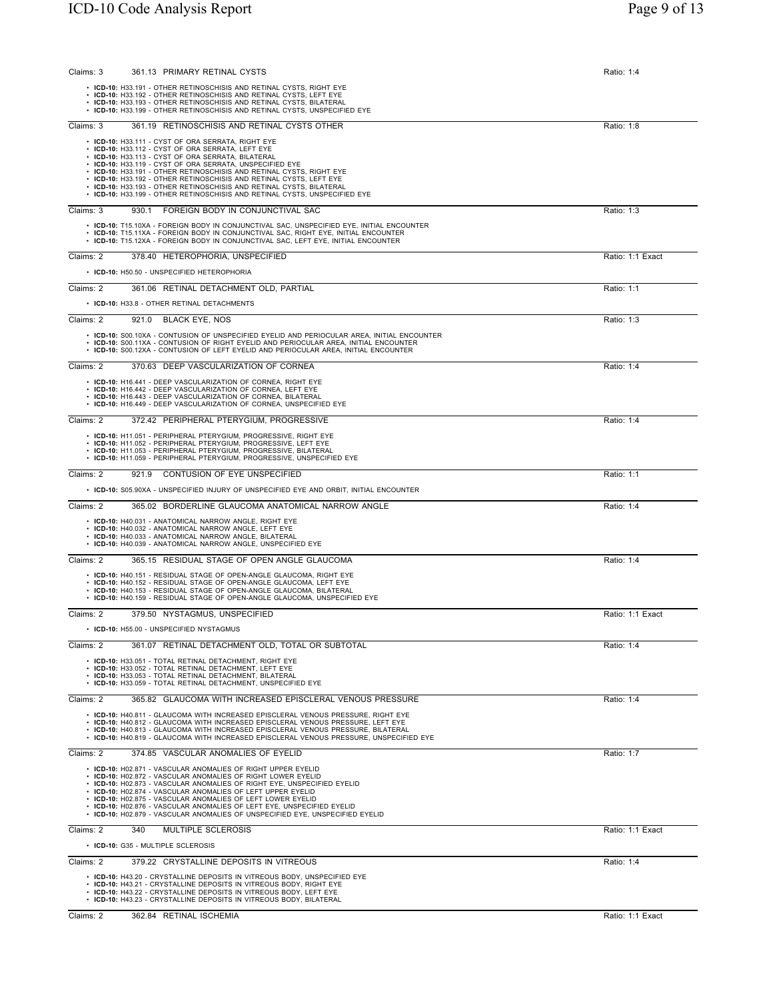| Claims: 3<br>361.13 PRIMARY RETINAL CYSTS                                                                                                                                                                                                                                                                                                                                                                                                                                                                                      | Ratio: 1:4       |
|--------------------------------------------------------------------------------------------------------------------------------------------------------------------------------------------------------------------------------------------------------------------------------------------------------------------------------------------------------------------------------------------------------------------------------------------------------------------------------------------------------------------------------|------------------|
| • ICD-10: H33.191 - OTHER RETINOSCHISIS AND RETINAL CYSTS, RIGHT EYE<br>• ICD-10: H33.192 - OTHER RETINOSCHISIS AND RETINAL CYSTS, LEFT EYE<br>• ICD-10: H33.193 - OTHER RETINOSCHISIS AND RETINAL CYSTS, BILATERAL<br>• ICD-10: H33.199 - OTHER RETINOSCHISIS AND RETINAL CYSTS, UNSPECIFIED EYE                                                                                                                                                                                                                              |                  |
| Claims: 3<br>361.19 RETINOSCHISIS AND RETINAL CYSTS OTHER                                                                                                                                                                                                                                                                                                                                                                                                                                                                      | Ratio: 1:8       |
| • ICD-10: H33.111 - CYST OF ORA SERRATA, RIGHT EYE<br>• ICD-10: H33.112 - CYST OF ORA SERRATA, LEFT EYE<br>• ICD-10: H33.113 - CYST OF ORA SERRATA, BILATERAL<br>• ICD-10: H33.119 - CYST OF ORA SERRATA, UNSPECIFIED EYE<br>• ICD-10: H33.191 - OTHER RETINOSCHISIS AND RETINAL CYSTS, RIGHT EYE<br>• ICD-10: H33.192 - OTHER RETINOSCHISIS AND RETINAL CYSTS, LEFT EYE<br>• ICD-10: H33.193 - OTHER RETINOSCHISIS AND RETINAL CYSTS, BILATERAL<br>• ICD-10: H33.199 - OTHER RETINOSCHISIS AND RETINAL CYSTS, UNSPECIFIED EYE |                  |
| FOREIGN BODY IN CONJUNCTIVAL SAC<br>Claims: 3<br>930.1                                                                                                                                                                                                                                                                                                                                                                                                                                                                         | Ratio: 1:3       |
| • ICD-10: T15.10XA - FOREIGN BODY IN CONJUNCTIVAL SAC, UNSPECIFIED EYE, INITIAL ENCOUNTER<br>• ICD-10: T15.11XA - FOREIGN BODY IN CONJUNCTIVAL SAC, RIGHT EYE, INITIAL ENCOUNTER<br>• ICD-10: T15.12XA - FOREIGN BODY IN CONJUNCTIVAL SAC, LEFT EYE, INITIAL ENCOUNTER                                                                                                                                                                                                                                                         |                  |
| Claims: 2<br>378.40 HETEROPHORIA, UNSPECIFIED                                                                                                                                                                                                                                                                                                                                                                                                                                                                                  | Ratio: 1:1 Exact |
| • ICD-10: H50.50 - UNSPECIFIED HETEROPHORIA                                                                                                                                                                                                                                                                                                                                                                                                                                                                                    |                  |
| Claims: 2<br>361.06 RETINAL DETACHMENT OLD, PARTIAL                                                                                                                                                                                                                                                                                                                                                                                                                                                                            | Ratio: 1:1       |
| • ICD-10: H33.8 - OTHER RETINAL DETACHMENTS                                                                                                                                                                                                                                                                                                                                                                                                                                                                                    |                  |
| Claims: 2<br>921.0<br><b>BLACK EYE, NOS</b>                                                                                                                                                                                                                                                                                                                                                                                                                                                                                    | Ratio: 1:3       |
| • ICD-10: S00.10XA - CONTUSION OF UNSPECIFIED EYELID AND PERIOCULAR AREA, INITIAL ENCOUNTER<br>• ICD-10: S00.11XA - CONTUSION OF RIGHT EYELID AND PERIOCULAR AREA, INITIAL ENCOUNTER<br>• ICD-10: S00.12XA - CONTUSION OF LEFT EYELID AND PERIOCULAR AREA, INITIAL ENCOUNTER                                                                                                                                                                                                                                                   |                  |
| Claims: 2<br>370.63 DEEP VASCULARIZATION OF CORNEA                                                                                                                                                                                                                                                                                                                                                                                                                                                                             | Ratio: 1:4       |
| • ICD-10: H16.441 - DEEP VASCULARIZATION OF CORNEA, RIGHT EYE<br>• ICD-10: H16.442 - DEEP VASCULARIZATION OF CORNEA, LEFT EYE<br>• ICD-10: H16.443 - DEEP VASCULARIZATION OF CORNEA, BILATERAL<br>• ICD-10: H16.449 - DEEP VASCULARIZATION OF CORNEA, UNSPECIFIED EYE                                                                                                                                                                                                                                                          |                  |
| Claims: 2<br>372.42 PERIPHERAL PTERYGIUM, PROGRESSIVE                                                                                                                                                                                                                                                                                                                                                                                                                                                                          | Ratio: 1:4       |
| • ICD-10: H11.051 - PERIPHERAL PTERYGIUM, PROGRESSIVE, RIGHT EYE<br>• ICD-10: H11.052 - PERIPHERAL PTERYGIUM, PROGRESSIVE, LEFT EYE<br>• ICD-10: H11.053 - PERIPHERAL PTERYGIUM, PROGRESSIVE, BILATERAL<br>• ICD-10: H11.059 - PERIPHERAL PTERYGIUM, PROGRESSIVE, UNSPECIFIED EYE                                                                                                                                                                                                                                              |                  |
| CONTUSION OF EYE UNSPECIFIED<br>Claims: 2<br>921.9                                                                                                                                                                                                                                                                                                                                                                                                                                                                             | Ratio: 1:1       |
| • ICD-10: S05.90XA - UNSPECIFIED INJURY OF UNSPECIFIED EYE AND ORBIT, INITIAL ENCOUNTER                                                                                                                                                                                                                                                                                                                                                                                                                                        |                  |
| Claims: 2<br>365.02 BORDERLINE GLAUCOMA ANATOMICAL NARROW ANGLE                                                                                                                                                                                                                                                                                                                                                                                                                                                                | Ratio: 1:4       |
| • ICD-10: H40.031 - ANATOMICAL NARROW ANGLE, RIGHT EYE<br>• ICD-10: H40.032 - ANATOMICAL NARROW ANGLE, LEFT EYE<br>• ICD-10: H40.033 - ANATOMICAL NARROW ANGLE, BILATERAL<br>• ICD-10: H40.039 - ANATOMICAL NARROW ANGLE, UNSPECIFIED EYE                                                                                                                                                                                                                                                                                      |                  |
| Claims: 2<br>365.15 RESIDUAL STAGE OF OPEN ANGLE GLAUCOMA                                                                                                                                                                                                                                                                                                                                                                                                                                                                      | Ratio: 1:4       |
| • ICD-10: H40.151 - RESIDUAL STAGE OF OPEN-ANGLE GLAUCOMA, RIGHT EYE<br>• ICD-10: H40.152 - RESIDUAL STAGE OF OPEN-ANGLE GLAUCOMA, LEFT EYE<br>• ICD-10: H40.153 - RESIDUAL STAGE OF OPEN-ANGLE GLAUCOMA, BILATERAL<br>• ICD-10: H40.159 - RESIDUAL STAGE OF OPEN-ANGLE GLAUCOMA, UNSPECIFIED EYE                                                                                                                                                                                                                              |                  |
| 379.50 NYSTAGMUS, UNSPECIFIED<br>Claims: 2                                                                                                                                                                                                                                                                                                                                                                                                                                                                                     | Ratio: 1:1 Exact |
| $\cdot$ ICD-10: H55.00 - UNSPECIFIED NYSTAGMUS                                                                                                                                                                                                                                                                                                                                                                                                                                                                                 |                  |
| Claims: 2<br>361.07 RETINAL DETACHMENT OLD, TOTAL OR SUBTOTAL                                                                                                                                                                                                                                                                                                                                                                                                                                                                  | Ratio: 1:4       |
| • ICD-10: H33.051 - TOTAL RETINAL DETACHMENT, RIGHT EYE<br>• ICD-10: H33.052 - TOTAL RETINAL DETACHMENT, LEFT EYE<br>• ICD-10: H33.053 - TOTAL RETINAL DETACHMENT, BILATERAL<br>• ICD-10: H33.059 - TOTAL RETINAL DETACHMENT, UNSPECIFIED EYE                                                                                                                                                                                                                                                                                  |                  |
| Claims: 2<br>365.82 GLAUCOMA WITH INCREASED EPISCLERAL VENOUS PRESSURE                                                                                                                                                                                                                                                                                                                                                                                                                                                         | Ratio: 1:4       |
| • ICD-10: H40.811 - GLAUCOMA WITH INCREASED EPISCLERAL VENOUS PRESSURE. RIGHT EYE<br>• ICD-10: H40.812 - GLAUCOMA WITH INCREASED EPISCLERAL VENOUS PRESSURE. LEFT EYE<br>• ICD-10: H40.813 - GLAUCOMA WITH INCREASED EPISCLERAL VENOUS PRESSURE, BILATERAL<br>• ICD-10: H40.819 - GLAUCOMA WITH INCREASED EPISCLERAL VENOUS PRESSURE, UNSPECIFIED EYE                                                                                                                                                                          |                  |
| Claims: 2<br>374.85 VASCULAR ANOMALIES OF EYELID                                                                                                                                                                                                                                                                                                                                                                                                                                                                               | Ratio: 1:7       |
| • ICD-10: H02.871 - VASCULAR ANOMALIES OF RIGHT UPPER EYELID<br>• ICD-10: H02.872 - VASCULAR ANOMALIES OF RIGHT LOWER EYELID<br>• ICD-10: H02.873 - VASCULAR ANOMALIES OF RIGHT EYE, UNSPECIFIED EYELID<br>• ICD-10: H02.874 - VASCULAR ANOMALIES OF LEFT UPPER EYELID<br>• ICD-10: H02.875 - VASCULAR ANOMALIES OF LEFT LOWER EYELID<br>• ICD-10: H02.876 - VASCULAR ANOMALIES OF LEFT EYE, UNSPECIFIED EYELID<br>• ICD-10: H02.879 - VASCULAR ANOMALIES OF UNSPECIFIED EYE, UNSPECIFIED EYELID                               |                  |
| Claims: 2<br>340<br>MULTIPLE SCLEROSIS                                                                                                                                                                                                                                                                                                                                                                                                                                                                                         | Ratio: 1:1 Exact |
| • ICD-10: G35 - MULTIPLE SCLEROSIS                                                                                                                                                                                                                                                                                                                                                                                                                                                                                             |                  |
| Claims: 2<br>379.22 CRYSTALLINE DEPOSITS IN VITREOUS                                                                                                                                                                                                                                                                                                                                                                                                                                                                           | Ratio: 1:4       |
| • ICD-10: H43.20 - CRYSTALLINE DEPOSITS IN VITREOUS BODY, UNSPECIFIED EYE<br>• ICD-10: H43.21 - CRYSTALLINE DEPOSITS IN VITREOUS BODY, RIGHT EYE<br>• ICD-10: H43.22 - CRYSTALLINE DEPOSITS IN VITREOUS BODY, LEFT EYE<br>• ICD-10: H43.23 - CRYSTALLINE DEPOSITS IN VITREOUS BODY, BILATERAL                                                                                                                                                                                                                                  |                  |
| Claims: 2<br>362.84 RETINAL ISCHEMIA                                                                                                                                                                                                                                                                                                                                                                                                                                                                                           | Ratio: 1:1 Exact |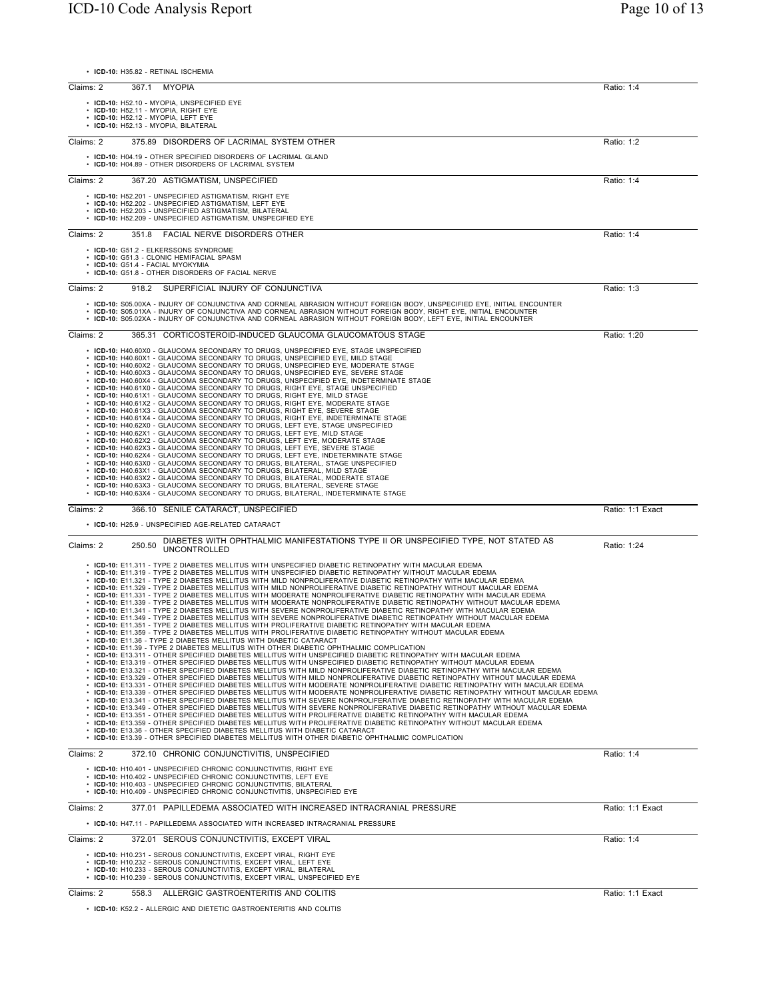| • ICD-10: H35.82 - RETINAL ISCHEMIA                                                                                                                                                                                                                                                                                                                                                                                                                                                                                                                                                                                                                                                                                                                                                                                                                                                                                                                                                                                                                                                                                                                                                                                                                                                                                                                                                                                                                                                                                                                                                                                                                                                                                                                                                                                                                                                                                                                                                                                                                                                                                                                                                                                                                                                                                                                                                                                                                                                                                                                                                                                                                                                                                                                                                                                  |                  |
|----------------------------------------------------------------------------------------------------------------------------------------------------------------------------------------------------------------------------------------------------------------------------------------------------------------------------------------------------------------------------------------------------------------------------------------------------------------------------------------------------------------------------------------------------------------------------------------------------------------------------------------------------------------------------------------------------------------------------------------------------------------------------------------------------------------------------------------------------------------------------------------------------------------------------------------------------------------------------------------------------------------------------------------------------------------------------------------------------------------------------------------------------------------------------------------------------------------------------------------------------------------------------------------------------------------------------------------------------------------------------------------------------------------------------------------------------------------------------------------------------------------------------------------------------------------------------------------------------------------------------------------------------------------------------------------------------------------------------------------------------------------------------------------------------------------------------------------------------------------------------------------------------------------------------------------------------------------------------------------------------------------------------------------------------------------------------------------------------------------------------------------------------------------------------------------------------------------------------------------------------------------------------------------------------------------------------------------------------------------------------------------------------------------------------------------------------------------------------------------------------------------------------------------------------------------------------------------------------------------------------------------------------------------------------------------------------------------------------------------------------------------------------------------------------------------------|------------------|
| Claims: 2<br>367.1<br>MYOPIA                                                                                                                                                                                                                                                                                                                                                                                                                                                                                                                                                                                                                                                                                                                                                                                                                                                                                                                                                                                                                                                                                                                                                                                                                                                                                                                                                                                                                                                                                                                                                                                                                                                                                                                                                                                                                                                                                                                                                                                                                                                                                                                                                                                                                                                                                                                                                                                                                                                                                                                                                                                                                                                                                                                                                                                         | Ratio: 1:4       |
| • ICD-10: H52.10 - MYOPIA, UNSPECIFIED EYE<br>• ICD-10: H52.11 - MYOPIA, RIGHT EYE<br>• ICD-10: H52.12 - MYOPIA, LEFT EYE<br>· ICD-10: H52.13 - MYOPIA, BILATERAL                                                                                                                                                                                                                                                                                                                                                                                                                                                                                                                                                                                                                                                                                                                                                                                                                                                                                                                                                                                                                                                                                                                                                                                                                                                                                                                                                                                                                                                                                                                                                                                                                                                                                                                                                                                                                                                                                                                                                                                                                                                                                                                                                                                                                                                                                                                                                                                                                                                                                                                                                                                                                                                    |                  |
| Claims: 2<br>375.89 DISORDERS OF LACRIMAL SYSTEM OTHER                                                                                                                                                                                                                                                                                                                                                                                                                                                                                                                                                                                                                                                                                                                                                                                                                                                                                                                                                                                                                                                                                                                                                                                                                                                                                                                                                                                                                                                                                                                                                                                                                                                                                                                                                                                                                                                                                                                                                                                                                                                                                                                                                                                                                                                                                                                                                                                                                                                                                                                                                                                                                                                                                                                                                               | Ratio: 1:2       |
| • ICD-10: H04.19 - OTHER SPECIFIED DISORDERS OF LACRIMAL GLAND<br>• ICD-10: H04.89 - OTHER DISORDERS OF LACRIMAL SYSTEM                                                                                                                                                                                                                                                                                                                                                                                                                                                                                                                                                                                                                                                                                                                                                                                                                                                                                                                                                                                                                                                                                                                                                                                                                                                                                                                                                                                                                                                                                                                                                                                                                                                                                                                                                                                                                                                                                                                                                                                                                                                                                                                                                                                                                                                                                                                                                                                                                                                                                                                                                                                                                                                                                              |                  |
| Claims: 2<br>367.20 ASTIGMATISM, UNSPECIFIED                                                                                                                                                                                                                                                                                                                                                                                                                                                                                                                                                                                                                                                                                                                                                                                                                                                                                                                                                                                                                                                                                                                                                                                                                                                                                                                                                                                                                                                                                                                                                                                                                                                                                                                                                                                                                                                                                                                                                                                                                                                                                                                                                                                                                                                                                                                                                                                                                                                                                                                                                                                                                                                                                                                                                                         | Ratio: 1:4       |
| • ICD-10: H52.201 - UNSPECIFIED ASTIGMATISM, RIGHT EYE<br>• ICD-10: H52.202 - UNSPECIFIED ASTIGMATISM, LEFT EYE<br>• ICD-10: H52.203 - UNSPECIFIED ASTIGMATISM, BILATERAL<br>• ICD-10: H52.209 - UNSPECIFIED ASTIGMATISM, UNSPECIFIED EYE                                                                                                                                                                                                                                                                                                                                                                                                                                                                                                                                                                                                                                                                                                                                                                                                                                                                                                                                                                                                                                                                                                                                                                                                                                                                                                                                                                                                                                                                                                                                                                                                                                                                                                                                                                                                                                                                                                                                                                                                                                                                                                                                                                                                                                                                                                                                                                                                                                                                                                                                                                            |                  |
| Claims: 2<br>FACIAL NERVE DISORDERS OTHER<br>351.8                                                                                                                                                                                                                                                                                                                                                                                                                                                                                                                                                                                                                                                                                                                                                                                                                                                                                                                                                                                                                                                                                                                                                                                                                                                                                                                                                                                                                                                                                                                                                                                                                                                                                                                                                                                                                                                                                                                                                                                                                                                                                                                                                                                                                                                                                                                                                                                                                                                                                                                                                                                                                                                                                                                                                                   | Ratio: 1:4       |
| • ICD-10: G51.2 - ELKERSSONS SYNDROME<br>• ICD-10: G51.3 - CLONIC HEMIFACIAL SPASM<br>• ICD-10: G51.4 - FACIAL MYOKYMIA<br>• ICD-10: G51.8 - OTHER DISORDERS OF FACIAL NERVE                                                                                                                                                                                                                                                                                                                                                                                                                                                                                                                                                                                                                                                                                                                                                                                                                                                                                                                                                                                                                                                                                                                                                                                                                                                                                                                                                                                                                                                                                                                                                                                                                                                                                                                                                                                                                                                                                                                                                                                                                                                                                                                                                                                                                                                                                                                                                                                                                                                                                                                                                                                                                                         |                  |
| Claims: 2<br>SUPERFICIAL INJURY OF CONJUNCTIVA<br>918.2                                                                                                                                                                                                                                                                                                                                                                                                                                                                                                                                                                                                                                                                                                                                                                                                                                                                                                                                                                                                                                                                                                                                                                                                                                                                                                                                                                                                                                                                                                                                                                                                                                                                                                                                                                                                                                                                                                                                                                                                                                                                                                                                                                                                                                                                                                                                                                                                                                                                                                                                                                                                                                                                                                                                                              | Ratio: 1:3       |
| • ICD-10: S05.00XA - INJURY OF CONJUNCTIVA AND CORNEAL ABRASION WITHOUT FOREIGN BODY, UNSPECIFIED EYE, INITIAL ENCOUNTER<br>. ICD-10: S05.01XA - INJURY OF CONJUNCTIVA AND CORNEAL ABRASION WITHOUT FOREIGN BODY, RIGHT EYE, INITIAL ENCOUNTER<br>. ICD-10: S05.02XA - INJURY OF CONJUNCTIVA AND CORNEAL ABRASION WITHOUT FOREIGN BODY, LEFT EYE, INITIAL ENCOUNTER                                                                                                                                                                                                                                                                                                                                                                                                                                                                                                                                                                                                                                                                                                                                                                                                                                                                                                                                                                                                                                                                                                                                                                                                                                                                                                                                                                                                                                                                                                                                                                                                                                                                                                                                                                                                                                                                                                                                                                                                                                                                                                                                                                                                                                                                                                                                                                                                                                                  |                  |
| Claims: 2<br>365.31 CORTICOSTEROID-INDUCED GLAUCOMA GLAUCOMATOUS STAGE                                                                                                                                                                                                                                                                                                                                                                                                                                                                                                                                                                                                                                                                                                                                                                                                                                                                                                                                                                                                                                                                                                                                                                                                                                                                                                                                                                                                                                                                                                                                                                                                                                                                                                                                                                                                                                                                                                                                                                                                                                                                                                                                                                                                                                                                                                                                                                                                                                                                                                                                                                                                                                                                                                                                               | Ratio: 1:20      |
| • ICD-10: H40.60X0 - GLAUCOMA SECONDARY TO DRUGS, UNSPECIFIED EYE, STAGE UNSPECIFIED<br>• ICD-10: H40.60X1 - GLAUCOMA SECONDARY TO DRUGS, UNSPECIFIED EYE, MILD STAGE<br>• ICD-10: H40.60X2 - GLAUCOMA SECONDARY TO DRUGS, UNSPECIFIED EYE, MODERATE STAGE<br>• ICD-10: H40.60X3 - GLAUCOMA SECONDARY TO DRUGS, UNSPECIFIED EYE, SEVERE STAGE<br>• ICD-10: H40.60X4 - GLAUCOMA SECONDARY TO DRUGS, UNSPECIFIED EYE, INDETERMINATE STAGE<br>• ICD-10: H40.61X0 - GLAUCOMA SECONDARY TO DRUGS, RIGHT EYE, STAGE UNSPECIFIED<br>• ICD-10: H40.61X1 - GLAUCOMA SECONDARY TO DRUGS, RIGHT EYE, MILD STAGE<br>• ICD-10: H40.61X2 - GLAUCOMA SECONDARY TO DRUGS, RIGHT EYE, MODERATE STAGE<br>• ICD-10: H40.61X3 - GLAUCOMA SECONDARY TO DRUGS, RIGHT EYE, SEVERE STAGE<br>• ICD-10: H40.61X4 - GLAUCOMA SECONDARY TO DRUGS, RIGHT EYE, INDETERMINATE STAGE<br>• ICD-10: H40.62X0 - GLAUCOMA SECONDARY TO DRUGS, LEFT EYE, STAGE UNSPECIFIED<br>• ICD-10: H40.62X1 - GLAUCOMA SECONDARY TO DRUGS, LEFT EYE, MILD STAGE<br>• ICD-10: H40.62X2 - GLAUCOMA SECONDARY TO DRUGS, LEFT EYE, MODERATE STAGE<br>• ICD-10: H40.62X3 - GLAUCOMA SECONDARY TO DRUGS, LEFT EYE, SEVERE STAGE<br>ICD-10: H40.62X4 - GLAUCOMA SECONDARY TO DRUGS, LEFT EYE, INDETERMINATE STAGE<br>ICD-10: H40.63X0 - GLAUCOMA SECONDARY TO DRUGS, BILATERAL, STAGE UNSPECIFIED<br>• ICD-10: H40.63X1 - GLAUCOMA SECONDARY TO DRUGS, BILATERAL, MILD STAGE<br>• ICD-10: H40.63X2 - GLAUCOMA SECONDARY TO DRUGS, BILATERAL, MODERATE STAGE                                                                                                                                                                                                                                                                                                                                                                                                                                                                                                                                                                                                                                                                                                                                                                                                                                                                                                                                                                                                                                                                                                                                                                                                                                                                                                                 |                  |
| • ICD-10: H40.63X3 - GLAUCOMA SECONDARY TO DRUGS, BILATERAL, SEVERE STAGE<br>• ICD-10: H40.63X4 - GLAUCOMA SECONDARY TO DRUGS, BILATERAL, INDETERMINATE STAGE                                                                                                                                                                                                                                                                                                                                                                                                                                                                                                                                                                                                                                                                                                                                                                                                                                                                                                                                                                                                                                                                                                                                                                                                                                                                                                                                                                                                                                                                                                                                                                                                                                                                                                                                                                                                                                                                                                                                                                                                                                                                                                                                                                                                                                                                                                                                                                                                                                                                                                                                                                                                                                                        |                  |
| Claims: 2<br>366.10 SENILE CATARACT, UNSPECIFIED                                                                                                                                                                                                                                                                                                                                                                                                                                                                                                                                                                                                                                                                                                                                                                                                                                                                                                                                                                                                                                                                                                                                                                                                                                                                                                                                                                                                                                                                                                                                                                                                                                                                                                                                                                                                                                                                                                                                                                                                                                                                                                                                                                                                                                                                                                                                                                                                                                                                                                                                                                                                                                                                                                                                                                     | Ratio: 1:1 Exact |
| • ICD-10: H25.9 - UNSPECIFIED AGE-RELATED CATARACT                                                                                                                                                                                                                                                                                                                                                                                                                                                                                                                                                                                                                                                                                                                                                                                                                                                                                                                                                                                                                                                                                                                                                                                                                                                                                                                                                                                                                                                                                                                                                                                                                                                                                                                                                                                                                                                                                                                                                                                                                                                                                                                                                                                                                                                                                                                                                                                                                                                                                                                                                                                                                                                                                                                                                                   |                  |
| DIABETES WITH OPHTHALMIC MANIFESTATIONS TYPE II OR UNSPECIFIED TYPE, NOT STATED AS<br>Claims: 2<br>250.50<br><b>UNCONTROLLED</b>                                                                                                                                                                                                                                                                                                                                                                                                                                                                                                                                                                                                                                                                                                                                                                                                                                                                                                                                                                                                                                                                                                                                                                                                                                                                                                                                                                                                                                                                                                                                                                                                                                                                                                                                                                                                                                                                                                                                                                                                                                                                                                                                                                                                                                                                                                                                                                                                                                                                                                                                                                                                                                                                                     | Ratio: 1:24      |
| • ICD-10: E11.311 - TYPE 2 DIABETES MELLITUS WITH UNSPECIFIED DIABETIC RETINOPATHY WITH MACULAR EDEMA<br>• ICD-10: E11.319 - TYPE 2 DIABETES MELLITUS WITH UNSPECIFIED DIABETIC RETINOPATHY WITHOUT MACULAR EDEMA<br>• ICD-10: E11.321 - TYPE 2 DIABETES MELLITUS WITH MILD NONPROLIFERATIVE DIABETIC RETINOPATHY WITH MACULAR EDEMA<br>. ICD-10: E11.329 - TYPE 2 DIABETES MELLITUS WITH MILD NONPROLIFERATIVE DIABETIC RETINOPATHY WITHOUT MACULAR EDEMA<br>. ICD-10: E11.331 - TYPE 2 DIABETES MELLITUS WITH MODERATE NONPROLIFERATIVE DIABETIC RETINOPATHY WITH MACULAR EDEMA<br>· ICD-10: E11.339 - TYPE 2 DIABETES MELLITUS WITH MODERATE NONPROLIFERATIVE DIABETIC RETINOPATHY WITHOUT MACULAR EDEMA<br>• ICD-10: E11.341 - TYPE 2 DIABETES MELLITUS WITH SEVERE NONPROLIFERATIVE DIABETIC RETINOPATHY WITH MACULAR EDEMA<br>. ICD-10: E11.349 - TYPE 2 DIABETES MELLITUS WITH SEVERE NONPROLIFERATIVE DIABETIC RETINOPATHY WITHOUT MACULAR EDEMA<br>· ICD-10: E11.351 - TYPE 2 DIABETES MELLITUS WITH PROLIFERATIVE DIABETIC RETINOPATHY WITH MACULAR EDEMA<br>• ICD-10: E11.359 - TYPE 2 DIABETES MELLITUS WITH PROLIFERATIVE DIABETIC RETINOPATHY WITHOUT MACULAR EDEMA<br>• ICD-10: E11.36 - TYPE 2 DIABETES MELLITUS WITH DIABETIC CATARACT<br>• ICD-10: E11.39 - TYPE 2 DIABETES MELLITUS WITH OTHER DIABETIC OPHTHALMIC COMPLICATION<br>• ICD-10: E13.311 - OTHER SPECIFIED DIABETES MELLITUS WITH UNSPECIFIED DIABETIC RETINOPATHY WITH MACULAR EDEMA<br>. ICD-10: E13.319 - OTHER SPECIFIED DIABETES MELLITUS WITH UNSPECIFIED DIABETIC RETINOPATHY WITHOUT MACULAR EDEMA<br>• ICD-10: E13.321 - OTHER SPECIFIED DIABETES MELLITUS WITH MILD NONPROLIFERATIVE DIABETIC RETINOPATHY WITH MACULAR EDEMA<br>• ICD-10: E13.329 - OTHER SPECIFIED DIABETES MELLITUS WITH MILD NONPROLIFERATIVE DIABETIC RETINOPATHY WITHOUT MACULAR EDEMA<br>• ICD-10: E13.331 - OTHER SPECIFIED DIABETES MELLITUS WITH MODERATE NONPROLIFERATIVE DIABETIC RETINOPATHY WITH MACULAR EDEMA<br>• ICD-10: E13.339 - OTHER SPECIFIED DIABETES MELLITUS WITH MODERATE NONPROLIFERATIVE DIABETIC RETINOPATHY WITHOUT MACULAR EDEMA<br>. ICD-10: E13.341 - OTHER SPECIFIED DIABETES MELLITUS WITH SEVERE NONPROLIFERATIVE DIABETIC RETINOPATHY WITH MACULAR EDEMA<br>. ICD-10: E13.349 - OTHER SPECIFIED DIABETES MELLITUS WITH SEVERE NONPROLIFERATIVE DIABETIC RETINOPATHY WITHOUT MACULAR EDEMA<br>• ICD-10: E13.351 - OTHER SPECIFIED DIABETES MELLITUS WITH PROLIFERATIVE DIABETIC RETINOPATHY WITH MACULAR EDEMA<br>• ICD-10: E13.359 - OTHER SPECIFIED DIABETES MELLITUS WITH PROLIFERATIVE DIABETIC RETINOPATHY WITHOUT MACULAR EDEMA<br>• ICD-10: E13.36 - OTHER SPECIFIED DIABETES MELLITUS WITH DIABETIC CATARACT<br>• ICD-10: E13.39 - OTHER SPECIFIED DIABETES MELLITUS WITH OTHER DIABETIC OPHTHALMIC COMPLICATION |                  |
| Claims: 2<br>372.10 CHRONIC CONJUNCTIVITIS, UNSPECIFIED                                                                                                                                                                                                                                                                                                                                                                                                                                                                                                                                                                                                                                                                                                                                                                                                                                                                                                                                                                                                                                                                                                                                                                                                                                                                                                                                                                                                                                                                                                                                                                                                                                                                                                                                                                                                                                                                                                                                                                                                                                                                                                                                                                                                                                                                                                                                                                                                                                                                                                                                                                                                                                                                                                                                                              | Ratio: 1:4       |
| • ICD-10: H10.401 - UNSPECIFIED CHRONIC CONJUNCTIVITIS, RIGHT EYE<br>• ICD-10: H10.402 - UNSPECIFIED CHRONIC CONJUNCTIVITIS, LEFT EYE<br>• ICD-10: H10.403 - UNSPECIFIED CHRONIC CONJUNCTIVITIS, BILATERAL<br>• ICD-10: H10.409 - UNSPECIFIED CHRONIC CONJUNCTIVITIS, UNSPECIFIED EYE                                                                                                                                                                                                                                                                                                                                                                                                                                                                                                                                                                                                                                                                                                                                                                                                                                                                                                                                                                                                                                                                                                                                                                                                                                                                                                                                                                                                                                                                                                                                                                                                                                                                                                                                                                                                                                                                                                                                                                                                                                                                                                                                                                                                                                                                                                                                                                                                                                                                                                                                |                  |
| Claims: 2<br>377.01 PAPILLEDEMA ASSOCIATED WITH INCREASED INTRACRANIAL PRESSURE<br>• ICD-10: H47.11 - PAPILLEDEMA ASSOCIATED WITH INCREASED INTRACRANIAL PRESSURE                                                                                                                                                                                                                                                                                                                                                                                                                                                                                                                                                                                                                                                                                                                                                                                                                                                                                                                                                                                                                                                                                                                                                                                                                                                                                                                                                                                                                                                                                                                                                                                                                                                                                                                                                                                                                                                                                                                                                                                                                                                                                                                                                                                                                                                                                                                                                                                                                                                                                                                                                                                                                                                    | Ratio: 1:1 Exact |
| Claims: 2<br>372.01 SEROUS CONJUNCTIVITIS, EXCEPT VIRAL                                                                                                                                                                                                                                                                                                                                                                                                                                                                                                                                                                                                                                                                                                                                                                                                                                                                                                                                                                                                                                                                                                                                                                                                                                                                                                                                                                                                                                                                                                                                                                                                                                                                                                                                                                                                                                                                                                                                                                                                                                                                                                                                                                                                                                                                                                                                                                                                                                                                                                                                                                                                                                                                                                                                                              | Ratio: 1:4       |
| • ICD-10: H10.231 - SEROUS CONJUNCTIVITIS, EXCEPT VIRAL, RIGHT EYE<br>• ICD-10: H10.232 - SEROUS CONJUNCTIVITIS, EXCEPT VIRAL, LEFT EYE<br>• ICD-10: H10.233 - SEROUS CONJUNCTIVITIS, EXCEPT VIRAL, BILATERAL<br>• ICD-10: H10.239 - SEROUS CONJUNCTIVITIS, EXCEPT VIRAL, UNSPECIFIED EYE                                                                                                                                                                                                                                                                                                                                                                                                                                                                                                                                                                                                                                                                                                                                                                                                                                                                                                                                                                                                                                                                                                                                                                                                                                                                                                                                                                                                                                                                                                                                                                                                                                                                                                                                                                                                                                                                                                                                                                                                                                                                                                                                                                                                                                                                                                                                                                                                                                                                                                                            |                  |

• **ICD-10:** K52.2 - ALLERGIC AND DIETETIC GASTROENTERITIS AND COLITIS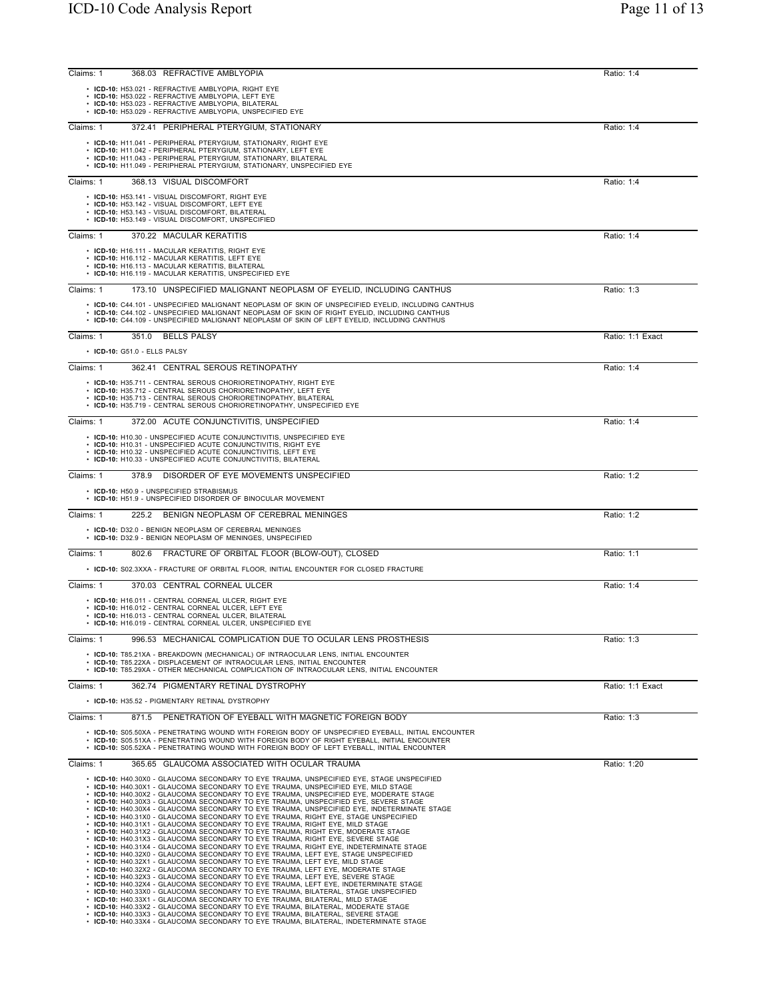| Claims: 1 | 368.03 REFRACTIVE AMBLYOPIA                                                                                                                                                                        | Ratio: 1:4       |
|-----------|----------------------------------------------------------------------------------------------------------------------------------------------------------------------------------------------------|------------------|
|           | • ICD-10: H53.021 - REFRACTIVE AMBLYOPIA, RIGHT EYE<br>• ICD-10: H53.022 - REFRACTIVE AMBLYOPIA, LEFT EYE                                                                                          |                  |
|           | • ICD-10: H53.023 - REFRACTIVE AMBLYOPIA, BILATERAL<br>• ICD-10: H53.029 - REFRACTIVE AMBLYOPIA, UNSPECIFIED EYE                                                                                   |                  |
|           |                                                                                                                                                                                                    |                  |
| Claims: 1 | 372.41 PERIPHERAL PTERYGIUM, STATIONARY                                                                                                                                                            | Ratio: 1:4       |
|           | • ICD-10: H11.041 - PERIPHERAL PTERYGIUM, STATIONARY, RIGHT EYE<br>• ICD-10: H11.042 - PERIPHERAL PTERYGIUM, STATIONARY, LEFT EYE                                                                  |                  |
|           | • ICD-10: H11.043 - PERIPHERAL PTERYGIUM, STATIONARY, BILATERAL<br>• ICD-10: H11.049 - PERIPHERAL PTERYGIUM, STATIONARY, UNSPECIFIED EYE                                                           |                  |
|           |                                                                                                                                                                                                    |                  |
| Claims: 1 | 368.13 VISUAL DISCOMFORT                                                                                                                                                                           | Ratio: 1:4       |
|           | • ICD-10: H53.141 - VISUAL DISCOMFORT, RIGHT EYE<br>• ICD-10: H53.142 - VISUAL DISCOMFORT, LEFT EYE                                                                                                |                  |
|           | • ICD-10: H53.143 - VISUAL DISCOMFORT, BILATERAL<br>• ICD-10: H53.149 - VISUAL DISCOMFORT, UNSPECIFIED                                                                                             |                  |
| Claims: 1 | 370.22 MACULAR KERATITIS                                                                                                                                                                           | Ratio: 1:4       |
|           | • ICD-10: H16.111 - MACULAR KERATITIS, RIGHT EYE                                                                                                                                                   |                  |
|           | • ICD-10: H16.112 - MACULAR KERATITIS, LEFT EYE                                                                                                                                                    |                  |
|           | • ICD-10: H16.113 - MACULAR KERATITIS, BILATERAL<br>• ICD-10: H16.119 - MACULAR KERATITIS, UNSPECIFIED EYE                                                                                         |                  |
| Claims: 1 | 173.10 UNSPECIFIED MALIGNANT NEOPLASM OF EYELID, INCLUDING CANTHUS                                                                                                                                 | Ratio: 1:3       |
|           | • ICD-10: C44.101 - UNSPECIFIED MALIGNANT NEOPLASM OF SKIN OF UNSPECIFIED EYELID, INCLUDING CANTHUS                                                                                                |                  |
|           | • ICD-10: C44.102 - UNSPECIFIED MALIGNANT NEOPLASM OF SKIN OF RIGHT EYELID, INCLUDING CANTHUS<br>• ICD-10: C44.109 - UNSPECIFIED MALIGNANT NEOPLASM OF SKIN OF LEFT EYELID, INCLUDING CANTHUS      |                  |
|           |                                                                                                                                                                                                    |                  |
| Claims: 1 | 351.0 BELLS PALSY                                                                                                                                                                                  | Ratio: 1:1 Exact |
|           | • ICD-10: G51.0 - ELLS PALSY                                                                                                                                                                       |                  |
| Claims: 1 | 362.41 CENTRAL SEROUS RETINOPATHY                                                                                                                                                                  | Ratio: 1:4       |
|           | • ICD-10: H35.711 - CENTRAL SEROUS CHORIORETINOPATHY, RIGHT EYE<br>• ICD-10: H35.712 - CENTRAL SEROUS CHORIORETINOPATHY, LEFT EYE                                                                  |                  |
|           | • ICD-10: H35.713 - CENTRAL SEROUS CHORIORETINOPATHY, BILATERAL<br>• ICD-10: H35.719 - CENTRAL SEROUS CHORIORETINOPATHY, UNSPECIFIED EYE                                                           |                  |
|           |                                                                                                                                                                                                    |                  |
| Claims: 1 | 372.00 ACUTE CONJUNCTIVITIS, UNSPECIFIED                                                                                                                                                           | Ratio: 1:4       |
|           | • ICD-10: H10.30 - UNSPECIFIED ACUTE CONJUNCTIVITIS, UNSPECIFIED EYE<br>• ICD-10: H10.31 - UNSPECIFIED ACUTE CONJUNCTIVITIS, RIGHT EYE                                                             |                  |
|           | • ICD-10: H10.32 - UNSPECIFIED ACUTE CONJUNCTIVITIS, LEFT EYE<br>• ICD-10: H10.33 - UNSPECIFIED ACUTE CONJUNCTIVITIS, BILATERAL                                                                    |                  |
| Claims: 1 | DISORDER OF EYE MOVEMENTS UNSPECIFIED<br>378.9                                                                                                                                                     | Ratio: 1:2       |
|           |                                                                                                                                                                                                    |                  |
|           | • ICD-10: H50.9 - UNSPECIFIED STRABISMUS<br>• ICD-10: H51.9 - UNSPECIFIED DISORDER OF BINOCULAR MOVEMENT                                                                                           |                  |
| Claims: 1 | BENIGN NEOPLASM OF CEREBRAL MENINGES<br>225.2                                                                                                                                                      | Ratio: 1:2       |
|           | • ICD-10: D32.0 - BENIGN NEOPLASM OF CEREBRAL MENINGES                                                                                                                                             |                  |
|           | • ICD-10: D32.9 - BENIGN NEOPLASM OF MENINGES, UNSPECIFIED                                                                                                                                         |                  |
| Claims: 1 | 802.6 FRACTURE OF ORBITAL FLOOR (BLOW-OUT), CLOSED                                                                                                                                                 | Ratio: 1:1       |
|           | • ICD-10: S02.3XXA - FRACTURE OF ORBITAL FLOOR, INITIAL ENCOUNTER FOR CLOSED FRACTURE                                                                                                              |                  |
| Claims: 1 | 370.03 CENTRAL CORNEAL ULCER                                                                                                                                                                       | Ratio: 1:4       |
|           | • ICD-10: H16.011 - CENTRAL CORNEAL ULCER, RIGHT EYE                                                                                                                                               |                  |
|           | • ICD-10: H16.012 - CENTRAL CORNEAL ULCER, LEFT EYE<br>• ICD-10: H16.013 - CENTRAL CORNEAL ULCER, BILATERAL                                                                                        |                  |
|           | • ICD-10: H16.019 - CENTRAL CORNEAL ULCER, UNSPECIFIED EYE                                                                                                                                         |                  |
| Claims: 1 | 996.53 MECHANICAL COMPLICATION DUE TO OCULAR LENS PROSTHESIS                                                                                                                                       | Ratio: 1:3       |
|           | • ICD-10: T85.21XA - BREAKDOWN (MECHANICAL) OF INTRAOCULAR LENS, INITIAL ENCOUNTER                                                                                                                 |                  |
|           | • ICD-10: T85.22XA - DISPLACEMENT OF INTRAOCULAR LENS, INITIAL ENCOUNTER<br>• ICD-10: T85.29XA - OTHER MECHANICAL COMPLICATION OF INTRAOCULAR LENS, INITIAL ENCOUNTER                              |                  |
| Claims: 1 | 362.74 PIGMENTARY RETINAL DYSTROPHY                                                                                                                                                                | Ratio: 1:1 Exact |
|           | • ICD-10: H35.52 - PIGMENTARY RETINAL DYSTROPHY                                                                                                                                                    |                  |
| Claims: 1 | 871.5 PENETRATION OF EYEBALL WITH MAGNETIC FOREIGN BODY                                                                                                                                            |                  |
|           |                                                                                                                                                                                                    | Ratio: 1:3       |
|           | • ICD-10: S05.50XA - PENETRATING WOUND WITH FOREIGN BODY OF UNSPECIFIED EYEBALL, INITIAL ENCOUNTER<br>• ICD-10: S05.51XA - PENETRATING WOUND WITH FOREIGN BODY OF RIGHT EYEBALL, INITIAL ENCOUNTER |                  |
|           | • ICD-10: S05.52XA - PENETRATING WOUND WITH FOREIGN BODY OF LEFT EYEBALL, INITIAL ENCOUNTER                                                                                                        |                  |
| Claims: 1 | 365.65 GLAUCOMA ASSOCIATED WITH OCULAR TRAUMA                                                                                                                                                      | Ratio: 1:20      |
|           | • ICD-10: H40.30X0 - GLAUCOMA SECONDARY TO EYE TRAUMA, UNSPECIFIED EYE, STAGE UNSPECIFIED<br>• ICD-10: H40.30X1 - GLAUCOMA SECONDARY TO EYE TRAUMA, UNSPECIFIED EYE, MILD STAGE                    |                  |
|           | • ICD-10: H40.30X2 - GLAUCOMA SECONDARY TO EYE TRAUMA, UNSPECIFIED EYE, MODERATE STAGE<br>• ICD-10: H40.30X3 - GLAUCOMA SECONDARY TO EYE TRAUMA, UNSPECIFIED EYE, SEVERE STAGE                     |                  |
|           | • ICD-10: H40.30X4 - GLAUCOMA SECONDARY TO EYE TRAUMA, UNSPECIFIED EYE, INDETERMINATE STAGE                                                                                                        |                  |
|           | • ICD-10: H40.31X0 - GLAUCOMA SECONDARY TO EYE TRAUMA, RIGHT EYE, STAGE UNSPECIFIED<br>• ICD-10: H40.31X1 - GLAUCOMA SECONDARY TO EYE TRAUMA, RIGHT EYE, MILD STAGE                                |                  |
|           | • ICD-10: H40.31X2 - GLAUCOMA SECONDARY TO EYE TRAUMA, RIGHT EYE, MODERATE STAGE<br>• ICD-10: H40.31X3 - GLAUCOMA SECONDARY TO EYE TRAUMA, RIGHT EYE, SEVERE STAGE                                 |                  |
|           | • ICD-10: H40.31X4 - GLAUCOMA SECONDARY TO EYE TRAUMA, RIGHT EYE, INDETERMINATE STAGE<br>• ICD-10: H40.32X0 - GLAUCOMA SECONDARY TO EYE TRAUMA, LEFT EYE, STAGE UNSPECIFIED                        |                  |
|           | • ICD-10: H40.32X1 - GLAUCOMA SECONDARY TO EYE TRAUMA, LEFT EYE, MILD STAGE<br>• ICD-10: H40.32X2 - GLAUCOMA SECONDARY TO EYE TRAUMA, LEFT EYE, MODERATE STAGE                                     |                  |
|           | • ICD-10: H40.32X3 - GLAUCOMA SECONDARY TO EYE TRAUMA, LEFT EYE, SEVERE STAGE<br>• ICD-10: H40.32X4 - GLAUCOMA SECONDARY TO EYE TRAUMA, LEFT EYE, INDETERMINATE STAGE                              |                  |
|           | • ICD-10: H40.33X0 - GLAUCOMA SECONDARY TO EYE TRAUMA, BILATERAL, STAGE UNSPECIFIED<br>• ICD-10: H40.33X1 - GLAUCOMA SECONDARY TO EYE TRAUMA, BILATERAL, MILD STAGE                                |                  |
|           | • ICD-10: H40.33X2 - GLAUCOMA SECONDARY TO EYE TRAUMA, BILATERAL, MODERATE STAGE                                                                                                                   |                  |
|           | • ICD-10: H40.33X3 - GLAUCOMA SECONDARY TO EYE TRAUMA, BILATERAL, SEVERE STAGE<br>• ICD-10: H40.33X4 - GLAUCOMA SECONDARY TO EYE TRAUMA, BILATERAL, INDETERMINATE STAGE                            |                  |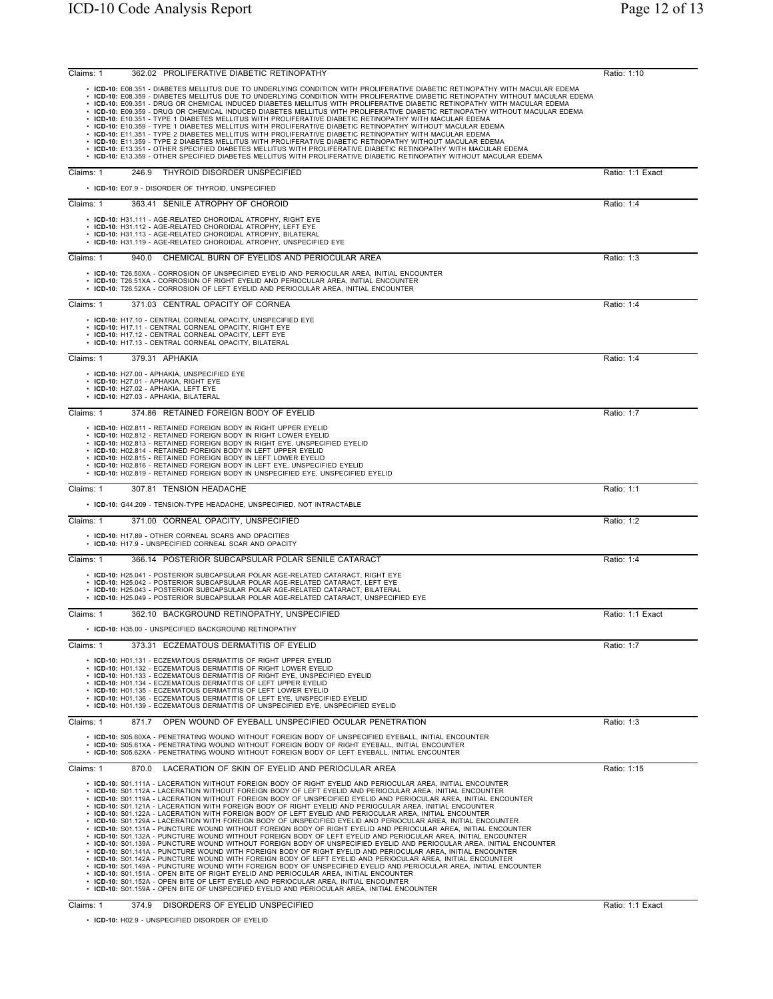| ICD-10 Code Analysis Report                                                                                                                                                                                                                                                                                                                                                                                                                                                                                                                                                                                                                                                                                                                                                                                                                                                                                                                                                                                                                                                                                                                                                                                                          | Page 12 of 13    |
|--------------------------------------------------------------------------------------------------------------------------------------------------------------------------------------------------------------------------------------------------------------------------------------------------------------------------------------------------------------------------------------------------------------------------------------------------------------------------------------------------------------------------------------------------------------------------------------------------------------------------------------------------------------------------------------------------------------------------------------------------------------------------------------------------------------------------------------------------------------------------------------------------------------------------------------------------------------------------------------------------------------------------------------------------------------------------------------------------------------------------------------------------------------------------------------------------------------------------------------|------------------|
| 362.02 PROLIFERATIVE DIABETIC RETINOPATHY<br>Claims: 1                                                                                                                                                                                                                                                                                                                                                                                                                                                                                                                                                                                                                                                                                                                                                                                                                                                                                                                                                                                                                                                                                                                                                                               | Ratio: 1:10      |
| • ICD-10: E08.351 - DIABETES MELLITUS DUE TO UNDERLYING CONDITION WITH PROLIFERATIVE DIABETIC RETINOPATHY WITH MACULAR EDEMA<br>• ICD-10: E08.359 - DIABETES MELLITUS DUE TO UNDERLYING CONDITION WITH PROLIFERATIVE DIABETIC RETINOPATHY WITHOUT MACULAR EDEMA<br>• ICD-10: E09.351 - DRUG OR CHEMICAL INDUCED DIABETES MELLITUS WITH PROLIFERATIVE DIABETIC RETINOPATHY WITH MACULAR EDEMA<br>• ICD-10: E09.359 - DRUG OR CHEMICAL INDUCED DIABETES MELLITUS WITH PROLIFERATIVE DIABETIC RETINOPATHY WITHOUT MACULAR EDEMA<br>• ICD-10: E10.351 - TYPE 1 DIABETES MELLITUS WITH PROLIFERATIVE DIABETIC RETINOPATHY WITH MACULAR EDEMA<br>• ICD-10: E10.359 - TYPE 1 DIABETES MELLITUS WITH PROLIFERATIVE DIABETIC RETINOPATHY WITHOUT MACULAR EDEMA<br>$\bm{\cdot}$ ICD-10: E11.351 - TYPE 2 DIABETES MELLITUS WITH PROLIFERATIVE DIABETIC RETINOPATHY WITH MACULAR EDEMA<br>• ICD-10: E11.359 - TYPE 2 DIABETES MELLITUS WITH PROLIFERATIVE DIABETIC RETINOPATHY WITHOUT MACULAR EDEMA<br>• ICD-10: E13.351 - OTHER SPECIFIED DIABETES MELLITUS WITH PROLIFERATIVE DIABETIC RETINOPATHY WITH MACULAR EDEMA<br>• ICD-10: E13.359 - OTHER SPECIFIED DIABETES MELLITUS WITH PROLIFERATIVE DIABETIC RETINOPATHY WITHOUT MACULAR EDEMA |                  |
| THYROID DISORDER UNSPECIFIED<br>Claims: 1<br>246.9<br>• ICD-10: E07.9 - DISORDER OF THYROID, UNSPECIFIED                                                                                                                                                                                                                                                                                                                                                                                                                                                                                                                                                                                                                                                                                                                                                                                                                                                                                                                                                                                                                                                                                                                             | Ratio: 1:1 Exact |
| Claims: 1<br>363.41 SENILE ATROPHY OF CHOROID<br>• ICD-10: H31.111 - AGE-RELATED CHOROIDAL ATROPHY. RIGHT EYE<br>• ICD-10: H31.112 - AGE-RELATED CHOROIDAL ATROPHY, LEFT EYE<br>• ICD-10: H31.113 - AGE-RELATED CHOROIDAL ATROPHY, BILATERAL<br>• ICD-10: H31.119 - AGE-RELATED CHOROIDAL ATROPHY, UNSPECIFIED EYE                                                                                                                                                                                                                                                                                                                                                                                                                                                                                                                                                                                                                                                                                                                                                                                                                                                                                                                   | Ratio: 1:4       |
| Claims: 1<br>CHEMICAL BURN OF EYELIDS AND PERIOCULAR AREA<br>940.0<br>• ICD-10: T26.50XA - CORROSION OF UNSPECIFIED EYELID AND PERIOCULAR AREA, INITIAL ENCOUNTER<br>• ICD-10: T26.51XA - CORROSION OF RIGHT EYELID AND PERIOCULAR AREA, INITIAL ENCOUNTER<br>• ICD-10: T26.52XA - CORROSION OF LEFT EYELID AND PERIOCULAR AREA, INITIAL ENCOUNTER                                                                                                                                                                                                                                                                                                                                                                                                                                                                                                                                                                                                                                                                                                                                                                                                                                                                                   | Ratio: 1:3       |
| 371.03 CENTRAL OPACITY OF CORNEA<br>Claims: 1<br>• ICD-10: H17.10 - CENTRAL CORNEAL OPACITY, UNSPECIFIED EYE<br>• ICD-10: H17.11 - CENTRAL CORNEAL OPACITY, RIGHT EYE<br>• ICD-10: H17.12 - CENTRAL CORNEAL OPACITY, LEFT EYE<br>• ICD-10: H17.13 - CENTRAL CORNEAL OPACITY. BILATERAL                                                                                                                                                                                                                                                                                                                                                                                                                                                                                                                                                                                                                                                                                                                                                                                                                                                                                                                                               | Ratio: 1:4       |

• ICD-10: E10.351 - TYPE 1 DIABETES MELLITUS WITH PROLIFERATIVE DIABETIC RETINOPATHY WITH MACULAR EDEMA<br>• ICD-10: E10.359 - TYPE 1 DIABETES MELLITUS WITH PROLIFERATIVE DIABETIC RETINOPATHY WITHOUT MACULAR EDEMA<br>• ICD-10: E • ICD-10: E13.351 - OTHER SPECIFIED DIABETES MELLITUS WITH PROLIFERATIVE DIABETIC RETINOPATHY WITH MACULAR EDEMA<br>• ICD-10: E13.359 - OTHER SPECIFIED DIABETES MELLITUS WITH PROLIFERATIVE DIABETIC RETINOPATHY WITHOUT MACULAR Claims: 1 246.9 THYROID DISORDER UNSPECIFIED • **ICD-10:** E07.9 - DISORDER OF THYROID, UNSPECIFIED Claims: 1 363.41 SENILE ATROPHY OF CHOROID • ICD-10: H31.111 - AGE-RELATED CHOROIDAL ATROPHY, RIGHT EYE<br>• ICD-10: H31.112 - AGE-RELATED CHOROIDAL ATROPHY, LEFT EYE<br>• ICD-10: H31.113 - AGE-RELATED CHOROIDAL ATROPHY, BILATERAL<br>• ICD-10: H31.119 - AGE-RELATED CHOROIDA Claims: 1 940.0 CHEMICAL BURN OF EYELIDS AND **ICD-10:** T26.50XA - CORROSION OF UNSPECIFIED EYELID AN • **ICD-10:** T26.51XA - CORROSION OF RIGHT EYELID AND PERIOCULAR AREA, INITIAL ENCOUNTER • **ICD-10:** T26.52XA - CORROSION OF LEFT EYELID AND PERIOCULAR AREA, INITIAL ENCOUNTER Claims: 1 371.03 CENTRAL OPACITY OF CORNEA **ICD-10:** H17.10 - CENTRAL CORNEAL OPACITY, UNSPECIFIED • **ICD-10:** H17.11 - CENTRAL CORNEAL OPACITY, RIGHT EYE • **ICD-10:** H17.12 - CENTRAL CORNEAL OPACITY, LEFT EYE • **ICD-10:** H17.13 - CENTRAL CORNEAL OPACITY, BILATERAL Claims: 1 379.31 APHAKIA Ratio: 1:4 • **ICD-10:** H27.00 - APHAKIA, UNSPECIFIED EYE • **ICD-10:** H27.01 - APHAKIA, RIGHT EYE • **ICD-10:** H27.02 - APHAKIA, LEFT EYE • **ICD-10:** H27.03 - APHAKIA, BILATERAL Claims: 1 374.86 RETAINED FOREIGN BODY OF EYELID **Ratio: 1:7** Ratio: 1:7 • ICD-10: H02.811 - RETAINED FOREIGN BODY IN RIGHT UPPER EYELID<br>• ICD-10: H02.812 - RETAINED FOREIGN BODY IN RIGHT LOWER EYELID<br>• ICD-10: H02.813 - RETAINED FOREIGN BODY IN RIGHT EYE, UNSPECIFIED EYELID<br>• ICD-10: H02.813 -Claims: 1 307.81 TENSION HEADACHE Ratio: 1:1 • **ICD-10:** G44.209 - TENSION-TYPE HEADACHE, UNSPECIFIED, NOT INTRACTABLE Claims: 1 371.00 CORNEAL OPACITY, UNSPECIFIED Ratio: 1:2 • **ICD-10:** H17.89 - OTHER CORNEAL SCARS AND OPACITIES • **ICD-10:** H17.9 - UNSPECIFIED CORNEAL SCAR AND OPACITY Claims: 1 366.14 POSTERIOR SUBCAPSULAR POLAR SENILE CATARACT Ratio: 1:4 • ICD-10: H25.041 - POSTERIOR SUBCAPSULAR POLAR AGE-RELATED CATARACT, RIGHT EYE<br>• ICD-10: H25.042 - POSTERIOR SUBCAPSULAR POLAR AGE-RELATED CATARACT, LEFT EYE<br>• ICD-10: H25.043 - POSTERIOR SUBCAPSULAR POLAR AGE-RELATED CAT • **ICD-10:** H25.049 - POSTERIOR SUBCAPSULAR POLAR AGE-RELATED CATARACT, UNSPECIFIED EYE Claims: 1 362.10 BACKGROUND RETINOPATHY, UNSPECIFIED 382.10 Ratio: 1:1 Exact • **ICD-10:** H35.00 - UNSPECIFIED BACKGROUND RETINOPATHY Claims: 1 373.31 ECZEMATOUS DERMATITIS OF EYELID Ratio: 1:7 • **ICD-10:** H01.131 - ECZEMATOUS DERMATITIS OF RIGHT UPPER EYELID • **ICD-10:** H01.132 - ECZEMATOUS DERMATITIS OF RIGHT LOWER EYELID<br>• **ICD-10:** H01.133 - ECZEMATOUS DERMATITIS OF RIGHT EYE, UNSPECIFIED EYELID<br>• **ICD-10:** H01.134 - ECZEMATOUS DERMATITIS OF LEFT UPPER EYELID • **ICD-10:** H01.135 - ECZEMATOUS DERMATITIS OF LEFT LOWER EYELID • **ICD-10:** H01.136 - ECZEMATOUS DERMATITIS OF LEFT EYE, UNSPECIFIED EYELID • **ICD-10:** H01.139 - ECZEMATOUS DERMATITIS OF UNSPECIFIED EYE, UNSPECIFIED EYELID Claims: 1 871.7 OPEN WOUND OF EYEBALL UNSPECIFIED OCULAR PENETRATION RATION Ratio: 1:3 • **ICD-10:** S05.60XA - PENETRATING WOUND WITHOUT FOREIGN BODY OF UNSPECIFIED EYEBALL, INITIAL ENCOUNTER • **ICD-10:** S05.61XA - PENETRATING WOUND WITHOUT FOREIGN BODY OF RIGHT EYEBALL, INITIAL ENCOUNTER • **ICD-10:** S05.62XA - PENETRATING WOUND WITHOUT FOREIGN BODY OF LEFT EYEBALL, INITIAL ENCOUNTER Claims: 1 870.0 LACERATION OF SKIN OF EYELID AND PERIOCULAR AREA **Ratio: 1:15** Ratio: 1:15 • ICD-10: S01.1114 - LACERATION WITHOUT FOREIGN BODY OF RIGHT EYELID AND PERIOCULAR AREA, INITIAL ENCOUNTER<br>• ICD-10: S01.112A - LACERATION WITHOUT FOREIGN BODY OF RIGHT EYELID AND PERIOCULAR AREA, INITIAL ENCOUNTER<br>• ICD-• **ICD-10:** S01.152A - OPEN BITE OF LEFT EYELID AND PERIOCULAR AREA, INITIAL ENCOUNTER • **ICD-10:** S01.159A - OPEN BITE OF UNSPECIFIED EYELID AND PERIOCULAR AREA, INITIAL ENCOUNTER Claims: 1 374.9 DISORDERS OF EYELID UNSPECIFIED **Ratio: 1:1 Exact** Ratio: 1:1 Exact

• **ICD-10:** H02.9 - UNSPECIFIED DISORDER OF EYELID